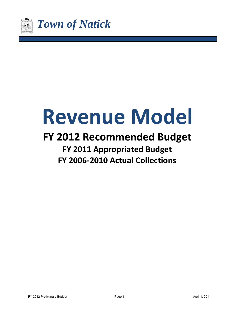

# **Revenue Model**

# **FY 2012 Recommended Budget FY 2011 Appropriated Budget**

**FY 2006‐2010 Actual Collections**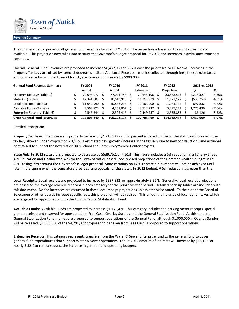

#### **Revenue Summary**

The summary below presents all general fund revenues for use in FY 2012. The projection is based on the most current data available. This projection now takes into account the Governor's budget proposal for FY 2012 and increases in ambulance transport revenues.

Overall, General Fund Revenues are proposed to increase \$6,432,969 or 5.97% over the prior fiscal year. Normal increases in the Property Tax Levy are offset by forecast decreases in State Aid. Local Receipts ‐ monies collected through fees, fines, excise taxes and business activity in the Town of Natick, are forecast to increase by \$900,000.

| <b>General Fund Revenue Summary</b> | FY 2009     | FY 2010     | FY 2011     | FY 2012     | 2011 vs. 2012 |          |
|-------------------------------------|-------------|-------------|-------------|-------------|---------------|----------|
|                                     | Actual      | Actual      | Estimated   | Projection  |               | <u>%</u> |
| Property Tax Levy (Table 1)         | 72,696,077  | 77,024,748  | 79,645,196  | 83,863,523  | 4,218,327     | 5.30%    |
| State Aid (Table 2)                 | 12,341,007  | 10,619,913  | 11,711,879  | 11,172,127  | (539, 752)    | $-4.61%$ |
| Local Receipts (Table 3)            | 11,652,990  | 10,832,238  | 10,183,900  | 11,081,732  | 897.832       | 8.82%    |
| Available Funds (Table 4)           | 3,568,822   | 4,308,802   | 3,714,737   | 5,485,173   | 1,770,436     | 47.66%   |
| Enterprise Receipts (Table 6)       | 2.546.344   | 2.506.416   | 2.449.757   | 2.535.883   | 86.126        | 3.52%    |
| <b>Gross General Fund Revenues</b>  | 102.805.240 | 105.292.118 | 107.705.469 | 114.138.438 | 6.432.969     | 5.97%    |

#### **Detailed Description:**

**Property Tax Levy**: The increase in property tax levy of \$4,218,327 or 5.30 percent is based on the on the statutory increase in the tax levy allowed under Proposition 2 1/2 plus estimated new growth (increase in the tax levy due to new construction), and excluded debt raised to support the new Natick High School and Community/Senior Center projects.

**State Aid:** FY 2012 state aid is projected to decrease by \$539,752, or 4.61%. This figure includes a 5% reduction in all Cherry Sheet Aid (Education and Unallocated Aid) for the Town of Natick based upon revised projections of the Commonwealth's budget in FY 2012 taking into account the Governor's Budget proposal. More certainty on FY2012 state aid numbers will not be achieved until later in the spring when the Legislature provides its proposals for the state's FY 2012 budget. A 5% reduction is greater than the

**Local Receipts:** Local receipts are projected to increase by \$897,832, or approximately 8.82%. Generally, local receipt projections are based on the average revenue received in each category for the prior five‐year period. Detailed back‐up tables are included with this document. No fee increases are assumed in these local receipt projections unless otherwise noted. To the extent the Board of Selectmen or other boards increase specific fees, this projection will be revised. This amount is inclusive of local option taxes which are targeted for appropriation into the Town's Capital Stabilization Fund.

**Available Funds:** Available Funds are projected to increase \$1,770,436. This category includes the parking meter receipts, special grants received and reserved for appropriation, Free Cash, Overlay Surplus and the General Stabilization Fund. At this time, no General Stabilization Fund monies are proposed to support operations of the General Fund, although \$1,000,000 in Overlay Surplus will be released. \$1,500,000 of the \$4,294,322 proposed to be taken from Free Cash is proposed to support operations.

**Enterprise Receipts:** This category represents transfers from the Water & Sewer Enterprise fund to the general fund to cover general fund expenditures that support Water & Sewer operations. The FY 2012 amount of indirects will increase by \$86,126, or nearly 3.52% to reflect request the increase in general fund operating budgets.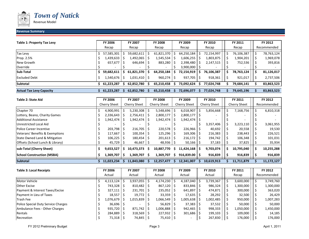

#### **Revenue Summary**

| Table 1: Property Tax Levy      | <b>FY 2006</b> |    | FY 2007    |              | <b>FY 2008</b> |    | FY 2009          |    | FY 2010    | FY 2011    |    | FY 2012     |
|---------------------------------|----------------|----|------------|--------------|----------------|----|------------------|----|------------|------------|----|-------------|
|                                 | Recap          |    | Recap      |              | Recap          |    | Recap            |    | Recap      | Recap      |    | Recommended |
| Tax Levy                        | 57,585,301     |    | 59,682,611 |              | 61,821,370     |    | 64,250,184       |    | 72,154,997 | 76,106,387 |    | 78,763,124  |
| Prop. 2.5%                      | 1,439,633      |    | L,492,065  | <sub>S</sub> | 1,545,534      |    | 1,606,255        |    | 1,803,875  | 1,904,201  |    | 1,969,078   |
| New Growth                      | 657,677        |    | 646,694    |              | 883,280        |    | 2,398,480        |    | 2,147,515  | 752,536    |    | 393,816     |
| Override                        |                |    |            |              |                |    | $3,900,000$   \$ |    |            |            |    |             |
| Sub-Total                       | 59,682,611     | s  | 61,821,370 | -S           | 64,250,184     |    | 72,154,919       |    | 76,106,387 | 78,763,124 | э. | 81,126,017  |
| <b>Excluded Debt</b>            | 1,540,676      | -S | 1,031,410  |              | 960,274        | -S | 937.705          | -S | 918,361    | 921,017    |    | 2,737,506   |
| Subtotal                        | 61,223,287     |    | 62,852,780 |              | 65,210,458     |    | 73,092,624       |    | 77,024,748 | 79,684,141 |    | 83,863,523  |
| <b>Actual Tax Levy Capacity</b> | 61,223,287     |    | 62,852,780 |              | 65,210,458     |    | 72,696,077       |    | 77,024,748 | 79,645,196 |    | 83,863,523  |

| <b>Table 2: State Aid</b>                   | <b>FY 2006</b> |   | FY 2007      |              | <b>FY 2008</b>          |    | FY 2009          |    | FY 2010      |   | FY 2011      |    | FY 2012     |
|---------------------------------------------|----------------|---|--------------|--------------|-------------------------|----|------------------|----|--------------|---|--------------|----|-------------|
|                                             | Cherry Sheet   |   | Cherry Sheet |              | <b>Cherry Sheet</b>     |    | Cherry Sheet     |    | Cherry Sheet |   | Cherry Sheet |    | Recommended |
| Chapter 70                                  | 4,900,991      |   | 5,230,308    | -\$          | 5,548,696               |    | 6,018,907        |    | 5,856,668    |   | 7,168,756    |    | 6,810,318   |
| Lottery, Beano, Charity Games               | 2,336,643      |   | 2,756,411    | <sub>S</sub> | 2,800,177               |    | $2,800,177$   \$ |    |              |   |              |    |             |
| <b>Additional Assistance</b>                | 1,942,474      |   | 1,942,474    |              | 1,942,474               |    | 1,942,474        |    |              |   |              |    |             |
| Unrestricted Local Aid                      |                |   |              |              |                         |    |                  | 2  | 3,357,406    |   | 3,223,110    |    | 3,061,955   |
| <b>IPolice Career Incentive</b>             | 203,798        |   | 216,705      | S            | $220,578$ $\frac{1}{5}$ |    | $226,966$   \$   |    | 40,692       |   | 20,558       |    | 19,530      |
| Veterans' Benefits & Exemptions             | 117,667        |   | 100,354      | -S           | $125,296$   \$          |    | $169,306$   \$   |    | 216,383      |   | 238,443      |    | 226,521     |
| State Owned Land & Mitigation               | 106,225        |   | 180,454      | -S           | $201,613$   \$          |    | $216,172$   \$   |    | 194,742      |   | 106,348      |    | 101,031     |
| <b>Offsets (School Lunch &amp; Library)</b> | 45,729         |   | 46,667       |              | $48,936$ \$             |    | $50,166$   \$    |    | 37,183       |   | 37,825       |    | 35,934      |
| sub-Total (Cherry Sheet)                    | 9,653,527      | s | 10,473,373   | -S           | 10,887,770              | S. | 11,424,168       | -S | 9,703,074    | s | 10,795,040   | -S | 10,255,288  |
| <b>School Construction (MSBA)</b>           | 1,369,707      |   | 1,369,707    | .S           | 1,369,707               |    | $916,839.00$ S   |    | 916,839      |   | 916,839      |    | 916,839     |
| <b>Subtotal</b>                             | 11,023,234     |   | 11,843,080   |              | 12,257,477              |    | 12,341,007       |    | 10,619,913   |   | 11,711,879   |    | 11,172,127  |

| <b>Table 3: Local Receipts</b>      | <b>FY 2006</b>       | FY 2007                |     | <b>FY 2008</b>     | FY 2009            |    | FY 2010   | FY 2011   | FY 2012     |
|-------------------------------------|----------------------|------------------------|-----|--------------------|--------------------|----|-----------|-----------|-------------|
|                                     | Actual               | Actual                 |     | Actual             | Actual             |    | Actual    | Recap     | Recommended |
| Motor Vehicle                       | 4,113,124            | 3,937,055              | l S | $4,174,230$   \$   | 4,187,040          | S  | 3,739,367 | 3,600,000 | 3,749,760   |
| <b>Other Excise</b>                 | 743,328 \$           | 810,482                |     | $867,120$   \$     | 833,846            | -S | 986,324   | 1,300,000 | 1,300,000   |
| Payment & Interest Taxes/Excise     | 327,111              | 231,701                | l S | $235,052$   \$     | $641,897$   \$     |    | 474,871   | 300,000   | 363,020     |
| Payment in Lieu of Taxes            | 18,557               | $19,772$   \$          |     | $33,359$ $\mid$ \$ | $17,635$ $\mid$ \$ |    | 28,292    | 32,500    | 26,429      |
| Trash Fee                           | 1,076,679            | 1,015,839              |     | $1,066,549$   \$   | 1,005,638          | -S | 1,002,485 | 950,000   | 1,007,283   |
| Police Special Duty Service Charges | $36,696$   \$        |                        |     | $56,829$   \$      | 37,383             | -Ś | 37,532    | 50,000    | 50,000      |
| Ambulance Fees - Other Charges      | $935,720$   \$       | 871,742                |     | 1,006,888 S        | $942,465$   \$     |    | 998,333   | 1,050,000 | 1,450,000   |
| Rentals                             | $284,889$ $\sqrt{5}$ | $318,569$   \$         |     | $227,932$   \$     | $301,686$   \$     |    | 199,103   | 109,000   | 14,185      |
| Recreation                          | $71,318$ \$          | $74,845$ $\frac{1}{5}$ |     | $75,410$   \$      |                    |    | 267,830   | 176,000   | 176,000     |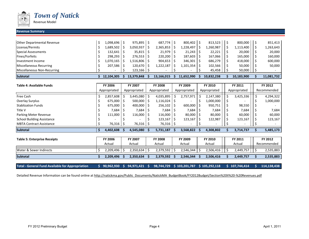

**Subtotal**

*Town of Natick*

Revenue Model

#### **Revenue Summary**

| <b>Other Departmental Revenue</b> | 1,098,696  |    | 975,895        |    | $687,774$ S    | $800.402$ S    | 813.523    | 800,000    | 851,413    |
|-----------------------------------|------------|----|----------------|----|----------------|----------------|------------|------------|------------|
| License/Permits                   | L,689,502  |    | 3,050,937      |    | 2,365,853      | 1,228,497      | 1,260,987  | 1,113,400  | 1,263,643  |
| <b>Special Assessments</b>        | 132,641    | -S | 35,815         |    | $21,979$ \$    | $21,243$ \$    | 22,221     | 20,000     | 20,000     |
| Fines/Forfeits                    | 298,293    |    | 276,553        |    | $220,200$   \$ | $187,603$ \$   | 167,066    | 165,000    | 160,000    |
| Investment Income                 | 1,070,165  |    | .516,806       |    | $904,653$ S    | $346,301$   \$ | 686,279    | 418,000    | 600,000    |
| Miscellaneous Recurring           | 207,586    |    | 120,670        | -5 | 1,222,187      | 1,101,354   \$ | 102,566    | 50,000     | 50,000     |
| Miscellaneous Non-Recurring       |            |    | $123,166$   \$ |    |                |                | 45,458     | 50,000     |            |
| <b>Subtotal</b>                   | 12,104,305 |    | 13,379,848     |    | 13,166,015     | 11,652,990     | 10,832,238 | 10,183,900 | 11,081,732 |

| <b>Table 4: Available Funds</b>     |    | <b>FY 2006</b> |     | FY 2007      |     | <b>FY 2008</b> |    | FY 2009      | FY 2010      |    | FY 2011      |   | FY 2012     |
|-------------------------------------|----|----------------|-----|--------------|-----|----------------|----|--------------|--------------|----|--------------|---|-------------|
|                                     |    | Appropriated   |     | Appropriated |     | Appropriated   |    | Appropriated | Appropriated |    | Appropriated |   | Recommended |
| Free Cash                           | Ş  | 2,857,608      | \$. | 3,445,080    | -\$ | 4,035,895      |    | 2,757,971    | 2,147,380    | \$ | 3,425,336    | S | 4,294,322   |
| <b>Overlay Surplus</b>              |    | 675,000        | -S  | 500,000      | -Ś  | 1,116,024      |    |              | 1,000,000    |    |              |   | 1,000,000   |
| <b>Stablization Funds</b>           |    | 675,000        | -S  | 400,000      | -S  | 256,102        |    | 600,000      | 950,751      | S  | 98,550       |   |             |
| Title V                             |    | 7,684          |     | 7,684        | -S  | 7,684          |    | 7,684        | 7,684        |    | 7,684        |   | 7,684       |
| Parking Meter Revenue               |    | 111,000        | -S  | 116,000      | -S  | $116,000$   \$ |    | $80,000$ \$  | 80,000       | S  | 60,000       |   | 60,000      |
| <b>School Building Assistance</b>   |    |                |     |              |     | 123,167        |    | 123,167      | 122,987      |    | 123,167      |   | 123,167     |
| <b>MBTA Contract Assistance</b>     |    | 76,316         | -S  | 76,316       | -5  | $76,316$ \$    |    |              |              |    |              |   |             |
| <b>Subtotal</b>                     | Ŝ. | 4,402,608      |     | 4,545,080    |     | 5,731,187      | -S | 3,568,822    | 4,308,802    |    | 3,714,737    |   | 5,485,173   |
|                                     |    |                |     |              |     |                |    |              |              |    |              |   |             |
| <b>Table 5: Enterprise Receipts</b> |    | <b>FY 2006</b> |     | FY 2007      |     | <b>FY 2008</b> |    | FY 2009      | FY 2010      |    | FY 2011      |   | FY 2012     |
|                                     |    | Actual         |     | Actual       |     | Actual         |    | Actual       | Actual       |    | Actual       |   | Recommended |
| Water & Sewer Indirects             | S  | 2,209,496      |     | 2,350,634    | -S  | 2,379,592      |    | 2,546,344    | 2,506,416    |    | 2,449,757    |   | 2,535,883   |

**Total ‐ General Fund** $$90,962,930$$   $$94,971,421$$   $$98,744,729$$   $$103,201,787$$   $$105,292,118$$   $$107,744,414$$   $$114,138,438$ 

**\$ 2,209,496 \$ 2,350,634 \$ 2,379,592 \$ 2,546,344 \$ 2,506,416 \$ 2,449,757 \$ 2,535,883**

Detailed Revenue Information can be found online at http://natickma.gov/Public\_Documents/NatickMA\_BudgetBook/FY2012Budget/Section%20II%20–%20Revenues.pdf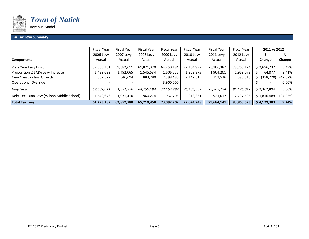

#### **1‐A Tax Levy Summary**

|                                            | <b>Fiscal Year</b> | <b>Fiscal Year</b> | <b>Fiscal Year</b> | <b>Fiscal Year</b> | <b>Fiscal Year</b> | <b>Fiscal Year</b> | <b>Fiscal Year</b> | 2011 vs 2012    |           |
|--------------------------------------------|--------------------|--------------------|--------------------|--------------------|--------------------|--------------------|--------------------|-----------------|-----------|
|                                            | 2006 Levy          | 2007 Levy          | 2008 Levy          | 2009 Levy          | 2010 Levy          | 2011 Levy          | 2012 Levy          |                 | %         |
| <b>Components</b>                          | Actual             | Actual             | Actual             | Actual             | Actual             | Actual             | Actual             | Change          | Change    |
| Prior Year Levy Limit                      | 57,585,301         | 59,682,611         | 61,821,370         | 64,250,184         | 72,154,997         | 76,106,387         | 78,763,124         | \$2,656,737     | 3.49%     |
| Proposition 2 1/2% Levy Increase           | 1,439,633          | 1,492,065          | 1,545,534          | 1,606,255          | 1,803,875          | 1,904,201          | 1,969,078          | 64,877          | 3.41%     |
| New Construction Growth                    | 657,677            | 646,694            | 883,280            | 2,398,480          | 2,147,515          | 752,536            | 393,816            | (358,720)<br>`. | $-47.67%$ |
| Operational Override                       |                    |                    |                    | 3,900,000          |                    |                    |                    |                 | 0.00%     |
| Levy Limit                                 | 59,682,611         | 61,821,370         | 64,250,184         | 72,154,997         | 76,106,387         | 78,763,124         | 81,126,017         | \$2,362,894     | 3.00%     |
| Debt Exclusion Levy (Wilson Middle School) | 1,540,676          | 1,031,410          | 960,274            | 937.705            | 918,361            | 921,017            | 2,737,506          | \$1,816,489     | 197.23%   |
| <b>Total Tax Levy</b>                      | 61,223,287         | 62,852,780         | 65.210.458         | 73,092,702         | 77,024,748         | 79,684,141         | 83,863,523         | \$4,179,383     | 5.24%     |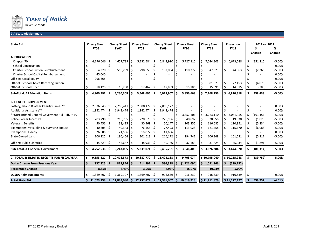

#### **2‐A State Aid Summary**

| <b>State Aid</b>                                 |    | <b>Cherry Sheet</b> |     | <b>Cherry Sheet</b> |              | <b>Cherry Sheet</b> |     | <b>Cherry Sheet</b> |      | <b>Cherry Sheet</b> |     | <b>Cherry Sheet</b> |    | Projection   |    | 2011 vs. 2012 |                   |
|--------------------------------------------------|----|---------------------|-----|---------------------|--------------|---------------------|-----|---------------------|------|---------------------|-----|---------------------|----|--------------|----|---------------|-------------------|
|                                                  |    | <b>FY06</b>         |     | <b>FY07</b>         |              | <b>FY08</b>         |     | <b>FY09</b>         |      | <b>FY10</b>         |     | <b>FY11</b>         |    | <b>FY12</b>  |    |               | %                 |
| <b>A. EDUCATION</b>                              |    |                     |     |                     |              |                     |     |                     |      |                     |     |                     |    |              |    | Change        | Change            |
|                                                  |    |                     |     | 4,657,789           |              |                     |     |                     |      |                     |     |                     |    | 6,673,088    |    |               |                   |
| Chapter 70<br><b>School Construction</b>         |    | 4,176,646           |     |                     | Ŝ            | 5,232,584           | Ŝ   | 5,843,990           |      | 5,727,110           | S.  | 7,024,303           | \$ |              |    | (351, 215)    | $-5.00%$<br>0.00% |
| <b>Charter School Tuition Reimbursement</b>      |    |                     | Ŝ.  |                     |              | 298,650             |     | 157,054             | l \$ |                     |     |                     | Ś. | 44,963       |    |               | $-5.00%$          |
|                                                  |    | 364,320             |     | 556,269             | \$           |                     | -\$ |                     |      | 110,372             | -\$ | 47,329              |    |              |    | (2,366)       | 0.00%             |
| Charter School Capital Reimbursement             |    | 45,040              |     |                     |              |                     |     |                     |      |                     |     |                     |    |              |    |               | 0.00%             |
| Off-Set: Racial Equity                           |    | 296,865             |     |                     |              |                     |     |                     |      |                     |     |                     |    |              |    |               |                   |
| Off-Set: School Choice Receiving Tuition         |    |                     |     |                     |              |                     |     |                     |      |                     |     | 81,529              |    | 77,453       |    | (4,076)       | $-5.00%$          |
| Off-Set: School Lunch                            |    | 18,120              | -\$ | $16,250$ \$         |              | 17,462              | -\$ | $17,863$   \$       |      | 19,186              |     | 15,595              |    | 14,815       |    | (780)         | $-5.00%$          |
| Sub-Total, All Education Items                   | \$ | 4,900,991           | \$. | 5,230,308           | Ŝ.           | 5,548,696           | \$. | 6,018,907           | ۱Ś   | 5,856,668           |     | \$7,168,756         |    | \$6,810,318  | Ś. | (358, 438)    | $-5.00%$          |
| <b>B. GENERAL GOVERNMENT</b>                     |    |                     |     |                     |              |                     |     |                     |      |                     |     |                     |    |              |    |               |                   |
| Lottery, Beano & other Charity Games**           |    | 2,336,643           | \$  | $2,756,411$ \$      |              | 2,800,177           | \$  | $2,800,177$ \$      |      |                     |     |                     |    |              |    |               | 0.00%             |
| Additional Assistance**                          |    | 1,942,474           | \$. | 1,942,474           | Ŝ            | 1,942,474           | Ŝ.  | $1,942,474$ \$      |      |                     |     |                     |    |              |    |               | 0.00%             |
| **Unrestricted General Goverment Aid - Eff. FY10 |    |                     |     |                     |              |                     |     |                     |      | 3,357,406           | Ŝ.  | 3,223,110           | Ŝ. | 3,061,955    |    | (161, 156)    | $-5.00%$          |
| <b>Police Career Incentive</b>                   |    | 203,798             |     | 216,705             | <sub>S</sub> | 220,578             | -Ś  | $226,966$ \$        |      | 40,692              |     | 20,558              | Ŝ  | 19,530       |    | (1,028)       | $-5.00%$          |
| <b>Veterans Benefits</b>                         |    | 50,456              |     | 38,425              | \$           | 30,569              | \$  | 50,147              | ۱\$  | 103,355             |     | 116,685             |    | 110,851      |    | (5,834)       | $-5.00%$          |
| Exemptions: Vets, Blind & Surviving Spouse       |    | 40,605              |     | 40,343              | S            | 76,655              | -S  | $77,493$   \$       |      | 113,028             |     | 121,758             |    | 115,670      |    | (6,088)       | $-5.00%$          |
| <b>Exemptions: Elderly</b>                       |    | 26,606              |     | 21,586              | Ŝ            | 18,072              | -\$ | 41,666              |      |                     |     |                     |    |              |    |               | 0.00%             |
| <b>State Owned Land</b>                          |    | 106,225             | -S  | 180,454             | S            | 201,613             | S   | $216,172$ \$        |      | 194,742             | -Ś  | 106,348             | Ŝ. | 101,031      |    | (5, 317)      | $-5.00%$          |
| Off-Set: Public Libraries                        |    | 45,729              | -\$ | 46,667              | \$           | 48,936              | -\$ | $50,166$   \$       |      | 37,183              |     | 37,825              |    | 35,934       |    | (1,891)       | $-5.00%$          |
| Sub-Total, All General Government                | \$ | 4,752,536           | Ŝ.  | 5,243,065           | \$.          | 5,339,074           | \$. | 5,405,261           | -Ś   | 3,846,406           |     | \$3,626,284         |    | \$3,444,970  | S. | (181, 314)    | $-5.00%$          |
| C. TOTAL ESTIMATED RECEIPTS FOR FISCAL YEAR      |    | 9,653,527           | Ŝ.  | 10,473,373          |              | \$10,887,770        |     | \$11,424,168        |      | 9,703,074           |     | \$10,795,040        |    | \$10,255,288 |    | (539, 752)    | $-5.00%$          |
| <b>Dollar Change From Previous Year</b>          | Ś. | $(937, 326)$ \$     |     | 819,846             | \$.          | 414,397             | \$  | 536,398             | ۱Ś   | (1,721,094)         |     | \$1,091,966         | \$ | (539, 752)   |    |               |                   |
| <b>Percentage Change</b>                         |    | $-8.85%$            |     | 8.49%               |              | 3.96%               |     | 4.93%               |      | $-15.07%$           |     | 10.03%              |    | $-5.00%$     |    |               |                   |
| <b>D. SBA Reimbursements</b>                     | S  | 1,369,707           | -S  | 1,369,707           | -\$          | 1,369,707           | -\$ | $916,839$ \$        |      | 916,839             | Ŝ.  | 916,839             | Ŝ. | 916,839      |    |               | 0.00%             |
| <b>Total State Aid</b>                           |    | \$11,023,234        | -\$ | 11,843,080          |              | \$12,257,477        |     | \$12,341,007        | Ŝ.   | 10,619,913          |     | \$11,711,879        |    | \$11,172,127 | Ŝ. | (539, 752)    | $-4.61%$          |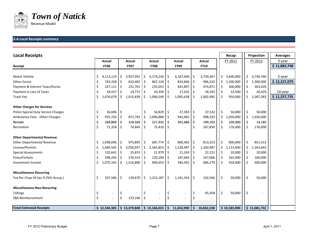

#### **3‐A Local Receipts summary**

| <b>Local Receipts</b>               |    |               |         |              |     |               |              |             |                     |             |    | Recap        |     | Projection   | <b>Averages</b> |
|-------------------------------------|----|---------------|---------|--------------|-----|---------------|--------------|-------------|---------------------|-------------|----|--------------|-----|--------------|-----------------|
|                                     |    | <b>Actual</b> |         | Actual       |     | <b>Actual</b> |              | Actual      |                     | Actual      |    | FY 2011      |     | FY 2012      | 3-year          |
| Receipt                             |    | <b>FY06</b>   |         | <b>FY07</b>  |     | <b>FY08</b>   |              | <b>FY09</b> |                     | <b>FY10</b> |    |              |     |              | \$11,883,748    |
|                                     |    |               |         |              |     |               |              |             |                     |             |    |              |     |              |                 |
| Motor Vehicle                       | \$ | 4,113,124     | \$      | 3,937,055    | \$  | 4,174,230     | -\$          | 4,187,040   | Ŝ.                  | 3,739,367   | \$ | 3,600,000    | \$  | 3,749,760    | 5-year          |
| <b>Other Excise</b>                 | \$ | 743,328 \$    |         | 810,482      | -\$ | 867,120       | $\varsigma$  | 833,846     | ۱\$                 | 986,324     | \$ | 1,300,000    | \$  | 1,300,000    | \$12,227,079    |
| Payment & Interest Taxes/Excise     | \$ | 327,111       | -\$     | 231,701      | -\$ | 235,052       | .\$          | 641,897     | -Ŝ                  | 474,871     | \$ | 300,000      | \$  | 363,020      |                 |
| Payment in Lieu of Taxes            | Ś  | $18,557$ \$   |         | 19,772       | -\$ | 33,359        | \$           | 17,635      |                     | 28,292      | \$ | 32,500       | \$  | 26,429       | 10-year         |
| Trash Fee                           | \$ | 1,076,679     | \$      | 1,015,839    | \$  | 1,066,549     | .\$          | 1,005,638   | S                   | 1,002,485   | Ś  | 950,000      | \$  | 1,007,283    | \$11,257,735    |
| <b>Other Charges for Services</b>   |    |               |         |              |     |               |              |             |                     |             |    |              |     |              |                 |
| Police Special Duty Service Charges | \$ | $36,696$ \$   |         |              | \$  | 56,829        | \$           | $37,383$ \$ |                     | 37,532      | \$ | 50,000       | \$  | 50,000       |                 |
| Ambulance Fees - Other Charges      | \$ | $935,720$ \$  |         | 871,742      | \$. | 1,006,888     | \$.          | 942,465     | \$                  | 998,333     | \$ | 1,050,000    | \$  | 1,450,000    |                 |
| Rentals                             | \$ | 284,889 \$    |         | 318,569      | Ŝ.  | 227,932       | Ś            | 301,686     | Ŝ.                  | 199,103     | \$ | 109,000      | \$. | 14,185       |                 |
| Recreation                          | Ś  | $71,318$ \$   |         | 74,845       | -\$ | 75,410        | -\$          |             | \$                  | 267,830     | Ś  | 176,000      | \$  | 176,000      |                 |
| <b>Other Departmental Revenue</b>   |    |               |         |              |     |               |              |             |                     |             |    |              |     |              |                 |
| Other Departmental Revenue          | \$ | 1,098,696 \$  |         | 975,895      | \$  | 687,774 \$    |              | 800,402     | $\vert$ \$          | 813,523     | \$ | 800,000      | \$  | 851,413      |                 |
| License/Permits                     | \$ | 1,689,502 \$  |         | 3,050,937    | \$  | 2,365,853     | S.           | 1,228,497   | Ŝ                   | 1,260,987   | \$ | 1,113,400    | Ś   | 1,263,643    |                 |
| <b>Special Assessments</b>          | \$ | $132,641$ \$  |         | 35,815       | Ŝ.  | 21,979        | \$           | 21,243      | -\$                 | 22,221      | \$ | 20,000       | \$  | 20,000       |                 |
| Fines/Forfeits                      | \$ | 298,293 \$    |         | 276,553      | Ŝ.  | 220,200       | \$           | 187,603     | Ŝ.                  | 167,066     | \$ | 165,000      | \$  | 160,000      |                 |
| Investment Income                   | Ś  | 1,070,165     | $\zeta$ | 1,516,806    | Ŝ.  | 904,653       | \$.          | 346,301     | - Ś                 | 686,279     | Ś. | 418,000      | Ś.  | 600,000      |                 |
| <b>Miscellaneous Recurring</b>      |    |               |         |              |     |               |              |             |                     |             |    |              |     |              |                 |
| Tax Per Chap 59 Sec D (%% Occup.)   | \$ | 207,586       | \$      | 120,670      | \$  | 1,222,187     | \$           | 1,101,354   | $\ddot{\mathsf{S}}$ | 102,566     | \$ | 50,000       | \$  | 50,000       |                 |
| <b>Miscellaneous Non-Recurring</b>  |    |               |         |              |     |               |              |             |                     |             |    |              |     |              |                 |
| <b>Tailings</b>                     | \$ | $\sim$        | \$      |              | \$  |               | \$,          | $\sim$      | \$                  | 45,458      | \$ | 50,000       | \$  |              |                 |
| SBA Reimbursement                   | Ś  | $\sim$        | \$      | 123,166      | \$  |               | \$           |             | \$.                 |             |    |              |     |              |                 |
| <b>Total Estimated Receipts</b>     |    | \$12,104,305  |         | \$13,379,848 |     | \$13,166,015  | $\mathsf{S}$ | 11,652,990  | Ś.                  | 10,832,238  |    | \$10,183,900 |     | \$11,081,732 |                 |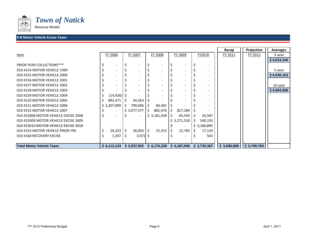

## *Town of Natick*

Revenue Model

#### **3‐B Motor Vehicle Excise Taxes**

|                                      |                          |    |             |    |             |     |                          |      |                          | Recap       | Projection  | <b>Averages</b> |
|--------------------------------------|--------------------------|----|-------------|----|-------------|-----|--------------------------|------|--------------------------|-------------|-------------|-----------------|
| Item                                 | FY 2006                  |    | FY 2007     |    | FY 2008     |     | FY 2009                  |      | FY2010                   | FY 2011     | FY 2012     | 3-year          |
|                                      |                          |    |             |    |             |     |                          |      |                          |             |             | \$4,033,546     |
| <b>PRIOR YEAR COLLECTIONS***</b>     |                          |    |             |    |             |     | $\overline{\phantom{a}}$ |      | $\overline{\phantom{a}}$ |             |             |                 |
| 010 4154 MOTOR VEHICLE 1999          |                          |    |             |    |             |     | $\overline{\phantom{a}}$ |      | $\overline{\phantom{a}}$ |             |             | 5-year          |
| 010 4155 MOTOR VEHICLE 2000          |                          |    |             |    |             |     | $\overline{\phantom{a}}$ |      | $\overline{\phantom{0}}$ |             |             | \$4,030,163     |
| 010 4156 MOTOR VEHICLE 2001          |                          |    |             |    |             |     | $\overline{\phantom{a}}$ |      | $\overline{\phantom{0}}$ |             |             |                 |
| 010 4157 MOTOR VEHICLE 2002          |                          |    |             |    |             |     | $\overline{\phantom{a}}$ |      | -                        |             |             | 10-year         |
| 010 4158 MOTOR VEHICLE 2003          |                          |    |             |    |             |     | $\overline{\phantom{a}}$ |      | -                        |             |             | \$4,064,406     |
| 010 4159 MOTOR VEHICLE 2004          | $(14,926)$ \$            |    |             |    |             |     | $\overline{\phantom{a}}$ |      | $\qquad \qquad -$        |             |             |                 |
| 010 4150 MOTOR VEHICLE 2005          | 892,471                  |    | 34,563      |    |             |     | $\overline{\phantom{a}}$ |      | $\overline{\phantom{a}}$ |             |             |                 |
| 010 4151 MOTOR VEHICLE 2006          | \$3,207,909              | S. | 799,096     | Ś  | 84,481      |     | $\overline{\phantom{a}}$ |      | $\overline{\phantom{a}}$ |             |             |                 |
| 010 4152 MOTOR VEHICLE 2007          | $\overline{\phantom{a}}$ |    | \$3,077,477 | S. | 882,976     | -\$ | 827,289                  |      | $\overline{\phantom{a}}$ |             |             |                 |
| 010 415008 MOTOR VEHICLE EXCISE 2008 | $\overline{\phantom{a}}$ |    |             |    | \$3,181,458 | S   | 65,435                   | 1 \$ | 20,587                   |             |             |                 |
| 010 415009 MOTOR VEHICLE EXCISE 2009 |                          |    |             |    |             |     | \$3,271,530              |      | 540,193                  |             |             |                 |
| 010 415010 MOTOR VEHICLE EXCISE 2010 |                          |    |             |    |             |     | $\overline{\phantom{a}}$ |      | \$3,160,895              |             |             |                 |
| 010 4153 MOTOR VEHICLE PRIOR YRS     | 26,323                   | S  | 26,056      | -S | 25,315      |     | 22,785                   |      | 17,129                   |             |             |                 |
| 010 4160 RECOVERY EXCISE             | 1,347                    | S  | $(137)$ \$  |    |             |     | $\overline{\phantom{a}}$ |      | 563                      |             |             |                 |
|                                      |                          |    |             |    |             |     |                          |      |                          |             |             |                 |
| <b>Total Motor Vehicle Taxes</b>     | \$4,113,124              |    | \$3,937,055 |    | \$4,174,230 |     | \$4,187,040              |      | \$3,739,367              | \$3,600,000 | \$3,749,760 |                 |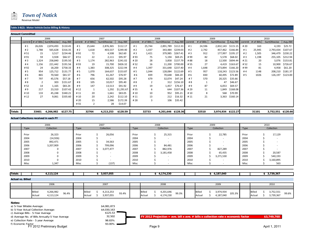

#### **Table 3‐B(2): Motor Vehicle Excise Billing & History**

|               | <b>Amount Committed</b> |        |                               |           |        |                |             |            |        |              |                    |                  |     |              |                    |                  |      |              |                    |                  |
|---------------|-------------------------|--------|-------------------------------|-----------|--------|----------------|-------------|------------|--------|--------------|--------------------|------------------|-----|--------------|--------------------|------------------|------|--------------|--------------------|------------------|
|               |                         |        | 2006                          |           |        |                | 2007        |            |        |              | 2008               |                  |     |              | 2009               |                  |      |              | 2010               |                  |
|               |                         |        | commit # of Bills SumOfexcise | Avg./Bill | commit | $#$ of Bills   | SumOfexcise | Avg./Bill  | commit | $#$ of Bills | SumOfexcise        | Avg./Bill commit |     | $#$ of Bills | SumOfexcise        | Avg./Bill commit |      | $#$ of Bills | SumOfexcise        | Avg./Bill        |
|               | #1                      | 26,026 | 2,874,493                     | \$110.45  | #1     | 25,644         | 2,876,365   | \$112.17   | #1     | 25,744       | 2,891,789          | \$112.33         | #1  | 24,596       | 2,832,143 \$115.15 |                  | # 20 | 163          | 4,193              | \$25.72          |
|               | # 2                     | 1,788  | 565,628                       | \$316.35  | # $2$  | 1,618          | 403,537     | \$249.40   | # 2    | 1,437        | 343,484            | \$239.03         | #2  | 2,742        | 457,462            | \$166.84         | #1   | 25,945       | 2,793,434          | \$107.67         |
|               | #51                     | 15     | 3,517                         | \$234.46  | #92    | 72             | 4,508       | \$62.60    | #3     | 1,421        | 379,985            | \$267.41         | #3  | 912          | 177,997            | \$195.17         | # 2  | 1,505        | 346,479            | \$230.22         |
|               | #91                     | 59     | 3,928                         | \$66.57   | #51    | 22             | 2,111       | \$95.97    | #93    | 75           | 5,194              | \$69.25          | #99 | 82           | 5,578              | \$68.02          | #3   | 1,198        | 255,105            | \$212.94         |
|               | #3                      | 1,324  | 258,840                       | \$195.50  | #3     | 1,174          | 282,963     | \$241.02   | # 20   | 28           | 3,858              | \$137.79         | #88 | 18           | 12,500             | \$694.44         | #21  | 20           |                    | 3,076 \$153.81   |
|               | #4                      | 1,156  | 221,442                       | \$191.56  | #93    | 19             | 15,700      | \$826.32   | # 52   | 16           | 11,200             | \$700.00         | #55 | 27           |                    | 4,419 \$163.67   | #52  | 15           | 10,900             | \$726.67         |
|               | #92                     | 24     | 18,200                        | \$758.33  | #4     | 1,383          | 308,325     | \$222.94   | #4     | 1,397        | 331,648            | \$237.40         | #4  | 1,648        | 273,894            | \$166.20         | #99  | 81           | 4,958              | \$61.20          |
|               | # 5                     | 954    | 125,712                       | \$131.77  | #5     | 1,070          | 164,637     | \$153.87   | #5     | 1.044        | 128,084            | \$122.69         | #5  | 957          | 118,243            | \$123.56         | #4   | 1148         |                    | 208,210 \$181.37 |
|               | # 6                     | 865    | 70,560                        | \$81.57   | #6     | 796            | 61,267      | \$76.97    | #6     | 839          | 70,648             | \$84.20          | #6  | 830          | 60,495             | \$72.89          | #5   | 1026         | 126,197            | \$123.00         |
|               | #7                      | 797    | 45,576                        | \$57.18   | # $7$  | 656            | 62,502      | \$95.28    | # 7    | 679          | 32,074             | \$47.24          | #7  | 570          | 20,325             | \$35.66          |      |              |                    |                  |
|               | # 8                     | 2      | 303                           | \$151.67  | #8     | 105            | 10,017      | \$95.40    | #8     |              | 312                | \$156.10         | #8  |              | 47                 | \$46.67          |      |              |                    |                  |
|               | #52                     | 14     | 1,165                         | \$83.24   | #9     | 147            | 13,513      | \$91.92    | #9     | 19           | 1,457              | \$76.67          | #9  | 87           | 6,053              | \$69.57          |      |              |                    |                  |
|               | #9                      | 217    | 23,310                        | \$107.42  | #12    | 1              | 1,292       | \$1,291.67 | #55    | 6            | 644                | \$107.36         | #29 | 11           | 1,849              | \$168.08         |      |              |                    |                  |
|               | #10                     | 133    | 45,248                        | \$340.21  | #11    | 20             | 1,661       | \$83.05    | #10    | 10           | 952                | \$95.21          | #10 | 8            | 568                | \$70.99          |      |              |                    |                  |
|               | #12                     | 27     | 9,061                         | \$335.60  | # 10   | 20             | 2,242       | \$112.10   | #11    | 13           | 212                | \$16.32          | #11 | 21           |                    | 3,363 \$160.14   |      |              |                    |                  |
|               |                         |        |                               |           | # 20   | 15             | 2,586       | \$172.39   | #28    |              | 106                | \$35.42          |     |              |                    |                  |      |              |                    |                  |
|               |                         |        |                               |           | #55    | $\overline{2}$ | 28          | \$14.07    |        |              |                    |                  |     |              |                    |                  |      |              |                    |                  |
| <b>Totals</b> |                         | 33401  | 4,266,982 \$127.75            |           |        | 32764          | 4,213,253   | \$128.59   |        | 32733        | 4,201,646 \$128.36 |                  |     | 32510        | 3,974,934 \$122.27 |                  |      | 31101        | 3,752,551 \$120.66 |                  |

#### **Actual Collections received in each FY**

|       | 2006       |       | 2007                     |       | 2008 |            |       | 2009 |            |             | 2010 |            |  |
|-------|------------|-------|--------------------------|-------|------|------------|-------|------|------------|-------------|------|------------|--|
| Type  | Collection | Type  | Collection               | Type  |      | Collection | Type  |      | Collection | <b>Type</b> |      | Collection |  |
|       |            |       |                          |       |      |            |       |      |            |             |      |            |  |
| Prior | 26,323     | Prior | 26,056                   | Prior |      | 25,315     | Prior |      | 22,785     | Prior       |      | 17,129     |  |
| 2004  | (14, 926)  | 2004  | $\overline{\phantom{a}}$ | 2004  |      |            | 2004  |      |            | 2004        |      |            |  |
| 2005  | 892,471    | 2005  | 34,563                   | 2005  |      |            | 2005  |      |            | 2005        |      |            |  |
| 2006  | 3,207,909  | 2006  | 799,096                  | 2006  |      | 84,481     | 2006  |      |            | 2006        |      |            |  |
| 2007  |            | 2007  | 3,077,477                | 2007  |      | 882,976    | 2007  |      | 827,289    | 2007        |      |            |  |
| 2008  |            | 2008  | $\overline{\phantom{a}}$ | 2008  |      | 3,181,458  | 2008  |      | 65,435     | 2008        |      | 20,587     |  |
| 2009  | 0          | 2009  |                          | 2009  |      |            | 2009  |      | 3,271,530  | 2009        |      | 540,193    |  |
| 2010  | 0          | 2010  |                          | 2010  |      |            | 2010  |      |            | 2010        |      | 3,160,895  |  |
| Misc  | 1,347      | Misc  | (137)                    | Misc  |      |            | Misc  |      |            | Misc        |      | 563        |  |

| <b>Totals</b>            |                         | 4,113,124              |       |                  | 3,937,055              |       |                         | 4,174,230              |       |                         | 4,187,040              |        |                         | 3,739,367              |       |
|--------------------------|-------------------------|------------------------|-------|------------------|------------------------|-------|-------------------------|------------------------|-------|-------------------------|------------------------|--------|-------------------------|------------------------|-------|
| <b>Actual vs. Billed</b> |                         |                        |       |                  |                        |       |                         |                        |       |                         |                        |        |                         |                        |       |
|                          |                         | 2006                   |       |                  | 2007                   |       |                         | 2008                   |       |                         | 2009                   |        |                         | 2010                   |       |
|                          |                         |                        |       |                  |                        |       |                         |                        |       |                         |                        |        |                         |                        |       |
|                          | <b>Billed</b><br>Actual | 4,266,982<br>4,113,124 | 96.4% | Billed<br>Actual | 4,213,253<br>3,937,055 | 93.4% | <b>Billed</b><br>Actual | 4,201,646<br>4,174,230 | 99.3% | <b>Billed</b><br>Actual | 3,974,934<br>4,187,040 | 105.3% | <b>Billed</b><br>Actual | 3,752,551<br>3,739,367 | 99.6% |
| Notes:                   |                         |                        |       |                  |                        |       |                         |                        |       |                         |                        |        |                         |                        |       |

a) 5-Year Billable Average: \$4,081,873<br>
b) 5-Year Actual Collection Average: \$4,030,163 b) 5-Year Actual Collection Average:<br>
c) Average Bills - 5-Year Average **by the Collection Average 3125.53** 

c) Average Bills - 5-Year Average **building and State and State State State State State State State State State**<br>
\$125.53 d) Average No. of Bills Annually-5 Year Average

e) Collection Rate - 5 year Average 98.83% 98.83% 98.83%

f) Economic Factor 93.00% FY 2012 Preliminary Budget

d) Average No. of Bills Annually-5 Year Average 32,502 **FY 2012 Projection = ave. bill x ave. # bills x collection rate x economic factor \$3,749,760**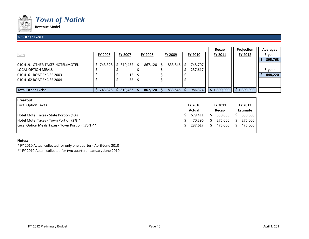

#### **3‐CC** Other Excise 40359 Present and the contract of the contract of the contract of the contract of the contract of the contract of the contract of the contract of the contract of the contract of the contract of the contrac

|                                  |                |     |            |         |                          |                          | Recap       | Projection  | <b>Averages</b> |
|----------------------------------|----------------|-----|------------|---------|--------------------------|--------------------------|-------------|-------------|-----------------|
| <u>Item</u>                      | <b>FY 2006</b> |     | FY 2007    | FY 2008 | FY 2009                  | FY 2010                  | FY 2011     | FY 2012     | 3-year          |
|                                  |                |     |            |         |                          |                          |             |             | 895,763         |
| 010 4191 OTHER TAXES HOTEL/MOTEL | 743,328        | . خ | 810,432 \$ | 867,120 | $833,846$ \$             | 748,707                  |             |             |                 |
| LOCAL OPTION MEALS               |                |     |            | -       |                          | 237,617                  |             |             | 5-year          |
| 010 4161 BOAT EXCISE 2003        |                |     | 15         | -       | $\overline{\phantom{a}}$ |                          |             |             | 848,220         |
| 010 4162 BOAT EXCISE 2004        |                |     | 35         | -       | $\overline{\phantom{a}}$ | $\overline{\phantom{0}}$ |             |             |                 |
|                                  |                |     |            |         |                          |                          |             |             |                 |
| <b>Total Other Excise</b>        | 743,328        |     | 810.482    | 867,120 | 833,846                  | 986,324                  | \$1,300,000 | \$1,300,000 |                 |

| <b>Breakout:</b>                                 |             |                |                |                 |
|--------------------------------------------------|-------------|----------------|----------------|-----------------|
| Local Option Taxes                               |             | <b>FY 2010</b> | <b>FY 2011</b> | FY 2012         |
|                                                  |             | Actual         | Recap          | <b>Estimate</b> |
| Hotel Motel Taxes - State Portion (4%)           |             | 678.411        | 550.000        | 550.000         |
| Hotel Motel Taxes - Town Portion (2%)*           |             | 70.296         | 275.000        | 275,000         |
| Local Option Meals Taxes - Town Portion (.75%)** | $\varsigma$ | 237.617        | 475.000        | 475.000         |
|                                                  |             |                |                |                 |

#### **Notes:**

\* FY 2010 Actual collected for only one quarter ‐ April‐June 2010

\*\* FY 2010 Actual collected for two auarters ‐ January‐June 2010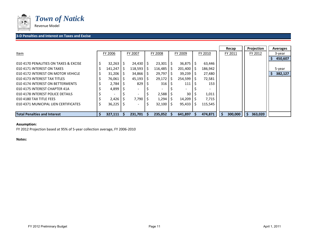

#### **3‐D Penalties and Interest on Taxes and Excise** <sup>40359</sup>

|                                       |         |              |                    |    |         |               |                         |         | Recap   | Projection | <b>Averages</b> |
|---------------------------------------|---------|--------------|--------------------|----|---------|---------------|-------------------------|---------|---------|------------|-----------------|
| <u>Item</u>                           | FY 2006 |              | FY 2007            |    | FY 2008 |               | FY 2009                 | FY 2010 | FY 2011 | FY 2012    | 3-year          |
|                                       |         |              |                    |    |         |               |                         |         |         |            | 450,607         |
| 010 4170 PENALITIES ON TAXES & EXCISE | 32,263  | -S           | $24,430$   \$      |    | 23,301  | -S            | $36,875$ $\mid$ \$      | 63,446  |         |            |                 |
| 010 4171 INTEREST ON TAXES            | 141,247 | <sub>S</sub> | 118,593            | -S | 116,485 | S             | $201,400$ S             | 186,942 |         |            | 5-year          |
| 010 4172 INTEREST ON MOTOR VEHICLE    | 31,206  | -5           | $34,866$   \$      |    | 29,797  | -S            | $39,239$ S              | 27,480  |         |            | 382,127         |
| 010 4173 INTEREST TAX TITLES          | 76,061  | -S           | $45,193$ $\mid$ \$ |    | 29,172  | Ŝ.            | $254,599$ $\frac{1}{5}$ | 72,581  |         |            |                 |
| 010 4174 INTEREST ON BETTERMENTS      | 2,784   | - 5          | 829                |    | 316     | 5             | 111                     | 153     |         |            |                 |
| 010 4175 INTEREST CHAPTER 41A         | 4,899   |              | $\sim$             |    |         |               |                         |         |         |            |                 |
| 010 4178 INTEREST POLICE DETAILS      |         |              |                    |    | 2,588   |               | 30                      | 1,011   |         |            |                 |
| 010 4180 TAX TITLE FEES               | 2,426   | 5            | 7,790              |    | 1,294   | $\mathcal{S}$ | 14,209                  | 7,715   |         |            |                 |
| 010 4371 MUNICIPAL LIEN CERTIFICATES  | 36,225  |              | -                  |    | 32,100  |               | 95,433                  | 115,545 |         |            |                 |
|                                       |         |              |                    |    |         |               |                         |         |         |            |                 |
| <b>Total Penalties and Interest</b>   | 327,111 |              | 231.701            |    | 235,052 |               | 641.897                 | 474,871 | 300.000 | 363,020    |                 |

#### **Assumption:**

FY 2012 Projection based at 95% of 5‐year collection average, FY 2006‐2010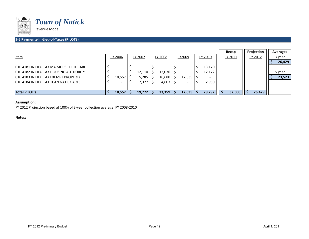

#### **3‐E Payments‐In‐Lieu‐of‐Taxes (PILOTS)** <sup>40359</sup>

|                                        |         |         |         |   |        |    |         | Recap   | Projection | Averages |
|----------------------------------------|---------|---------|---------|---|--------|----|---------|---------|------------|----------|
| <u>Item</u>                            | FY 2006 | FY 2007 | FY 2008 |   | FY2009 |    | FY 2010 | FY 2011 | FY 2012    | 3-year   |
|                                        |         |         |         |   |        |    |         |         |            | 26,429   |
| 010 4181 IN LIEU TAX MA MORSE HLTHCARE |         |         |         |   |        | -5 | 13,170  |         |            |          |
| 010 4182 IN LIEU TAX HOUSING AUTHORITY |         | 12,110  | 12,076  |   |        |    | 12,172  |         |            | 5-year   |
| 010 4183 IN LIEU TAX EXEMPT PROPERTY   | 18,557  | 5,285   | 16,680  | S | 17,635 |    |         |         |            | 23,523   |
| 010 4184 IN LIEU TAX TCAN NATICK ARTS  |         | 2,377   | 4,603   |   |        |    | 2,950   |         |            |          |
|                                        |         |         |         |   |        |    |         |         |            |          |
| <b>Total PILOT's</b>                   | 18,557  | 19,772  | 33,359  |   | 17,635 |    | 28,292  | 32,500  | 26,429     |          |

#### **Assumption:**

FY 2012 Projection based at 100% of 3‐year collection average, FY 2008‐2010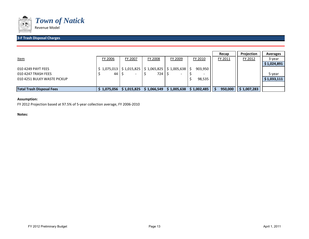

#### **3‐F Trash Disposal Charges**

|                                  |             |             |                           |                |             | Recap   | Projection  | <b>Averages</b> |
|----------------------------------|-------------|-------------|---------------------------|----------------|-------------|---------|-------------|-----------------|
| <u>Item</u>                      | FY 2006     | FY 2007     | FY 2008                   | FY 2009        | FY 2010     | FY 2011 | FY 2012     | 3-year          |
|                                  |             |             |                           |                |             |         |             | \$1,024,891     |
| 010 4249 PAYT FEES               | \$1,075,013 |             | $$1,015,825$ $$1,065,825$ | $$1,005,638$ S | 903,950     |         |             |                 |
| 010 4247 TRASH FEES              | 44          | -           | 724                       |                | -           |         |             | 5-year          |
| 010 4251 BULKY WASTE PICKUP      |             |             |                           |                | 98,535      |         |             | \$1,033,111     |
|                                  |             |             |                           |                |             |         |             |                 |
| <b>Total Trash Disposal Fees</b> | 1,075,056   | \$1,015,825 | \$1,066,549               | \$1,005,638    | \$1,002,485 | 950,000 | \$1,007,283 |                 |

#### **Assumption:**

FY 2012 Projection based at 97.5% of 5‐year collection average, FY 2006‐2010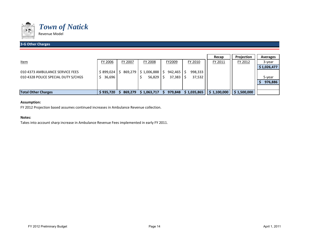

#### **3‐G Other Charges** <sup>40359</sup>

|                                     |           |                |                     |             |             | Recap       | Projection  | <b>Averages</b> |
|-------------------------------------|-----------|----------------|---------------------|-------------|-------------|-------------|-------------|-----------------|
| Item                                | FY 2006   | <b>FY 2007</b> | FY 2008             | FY2009      | FY 2010     | FY 2011     | FY 2012     | 3-year          |
|                                     |           |                |                     |             |             |             |             | \$1,026,477     |
| 010 4373 AMBULANCE SERVICE FEES     | \$899,024 |                | 869,279 \$1,006,888 | $942,465$ S | 998,333     |             |             |                 |
| 010 4328 POLICE SPECIAL DUTY S/CHGS | 36,696    |                | 56,829              | 37,383      | 37,532      |             |             | 5-year          |
|                                     |           |                |                     |             |             |             |             | 976,886         |
|                                     |           |                |                     |             |             |             |             |                 |
| <b>Total Other Charges</b>          | \$935,720 | 869,279        | \$1,063,717         | 979,848     | \$1,035,865 | \$1,100,000 | \$1,500,000 |                 |

#### **Assumption:**

FY 2012 Projection based assumes continued increases in Ambulance Revenue collection.

#### **Notes:**

Takes into account sharp increase in Ambulance Revenue Fees implemented in early FY 2011.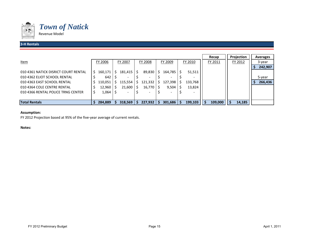

#### **3‐HRentals** 40359 **Properties and the contract of the contract of the contract of the contract of the contract of the**

|                                      |    |         |   |                                       |                          |               |                          |         | Recap   | Projection | <b>Averages</b> |
|--------------------------------------|----|---------|---|---------------------------------------|--------------------------|---------------|--------------------------|---------|---------|------------|-----------------|
| Item                                 |    | FY 2006 |   | FY 2007                               | FY 2008                  |               | FY 2009                  | FY 2010 | FY 2011 | FY 2012    | 3-year          |
|                                      |    |         |   |                                       |                          |               |                          |         |         |            | 242,907         |
| 010 4361 NATICK DISRICT COURT RENTAL | S. | 160,171 | S | $181,415$ $\overline{\phantom{1}}$ \$ | 89,830                   | $\mathcal{S}$ | 164,785                  | 51,511  |         |            |                 |
| 010 4362 ELIOT SCHOOL RENTAL         |    | 642     |   |                                       |                          |               |                          |         |         |            | 5-year          |
| 010 4363 EAST SCHOOL RENTAL          |    | 110,051 |   | 115,554                               | 121,332                  |               | 127,398                  | 133,768 |         |            | 266,436         |
| 010 4364 COLE CENTRE RENTAL          |    | 12,960  |   | $21,600$ \$                           | $16,770$                 |               | 9,504                    | 13,824  |         |            |                 |
| 010 4366 RENTAL POLICE TRNG CENTER   |    | 1,064   |   |                                       | $\overline{\phantom{a}}$ |               | $\overline{\phantom{0}}$ |         |         |            |                 |
|                                      |    |         |   |                                       |                          |               |                          |         |         |            |                 |
| <b>Total Rentals</b>                 |    | 284,889 |   | 318,569                               | 227,932                  |               | 301,686                  | 199,103 | 109,000 | 14,185     |                 |

#### **Assumption:**

FY 2012 Projection based at 95% of the five‐year average of current rentals.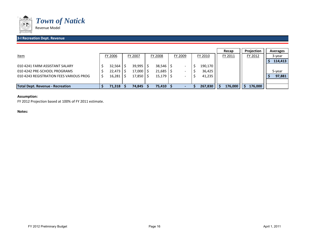

#### **3‐I Recreation Dept. Revenue** <sup>40359</sup>

|                                         |            |         |                    |         |         | Recap   | Projection | Averages |
|-----------------------------------------|------------|---------|--------------------|---------|---------|---------|------------|----------|
| <u>Item</u>                             | FY 2006    | FY 2007 | FY 2008            | FY 2009 | FY 2010 | FY 2011 | FY 2012    | 3-year   |
|                                         |            |         |                    |         |         |         |            | 114,413  |
| 010 4241 FARM ASSISTANT SALARY          | 32,564     | 39,995  | $38,546$ \$        |         | 190,170 |         |            |          |
| 010 4242 PRE-SCHOOL PROGRAMS            | $22,473$ S | 17,000  | 21,685             |         | 36,425  |         |            | 5-year   |
| 010 4243 REGISTRATION FEES VARIOUS PROG | $16,281$   | 17,850  | $15,179$ $\mid$ \$ |         | 41,235  |         |            | 97,881   |
|                                         |            |         |                    |         |         |         |            |          |
| Total Dept. Revenue - Recreation        | 71,318     | 74,845  | 75,410             |         | 267,830 | 176,000 | 176,000    |          |

#### **Assumption:**

FY 2012 Projection based at 100% of FY 2011 estimate.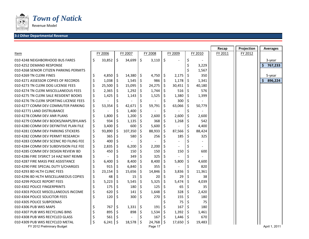

Revenue Model

#### **3‐J Other Departmental Revenue** <sup>40359</sup>

|                                                               |              |     |           |     |                        |      |              |     |         | Recap   | Projection | <b>Averages</b> |
|---------------------------------------------------------------|--------------|-----|-----------|-----|------------------------|------|--------------|-----|---------|---------|------------|-----------------|
| Item                                                          | FY 2006      |     | FY 2007   |     | FY 2008                |      | FY 2009      |     | FY 2010 | FY 2011 | FY 2012    |                 |
| 010 4248 NEIGHBORHOOD BUS FARES                               | \$<br>33,852 | \$  | 34,699    | \$  | 3,110                  | \$   |              | \$  |         |         |            | 3-year          |
| 010 4252 DEMAND RESPONSE                                      |              |     |           |     |                        |      |              |     | 3,229   |         |            | 767,233         |
| 010 4268 SENIOR CITIZEN PARKING PERMITS                       |              |     |           |     |                        |      |              |     | 1,567   |         |            |                 |
| 010 4269 TN CLERK FINES                                       | \$<br>4,850  | Ŝ.  | 14,380    | -\$ | 4,750                  | \$.  | 2,175        |     | 350     |         |            | 5-year          |
| 010 4271 ASSESSOR COPIES OF RECORDS                           | \$<br>1,038  | \$  | 1,545     | \$  | 986                    | \$   | 1,178        | -\$ | 1,341   |         |            | Ŝ.<br>896,224   |
| 010 4273 TN CLERK DOG LICENSE FEES                            | \$<br>25,500 | S   | 15,095    | \$  | 24,275                 | \$   | 30,451       | -S  | 40,180  |         |            |                 |
| 010 4274 TN CLERK MISCELLANEOUS FEES                          | \$<br>2,365  | \$  | 1,292     | -\$ | 1,744                  | \$   | 516          | -S  | 576     |         |            |                 |
| 010 4275 TN CLERK SALE RESIDENT BOOKS                         | \$<br>1,425  | \$  | 1,143     |     | 1,525                  | \$   | 1,380        | 1 S | 1,399   |         |            |                 |
| 010 4276 TN CLERK SPORTING LICENSE FEES                       | \$           | \$  |           |     |                        | \$   | 300          | -S  |         |         |            |                 |
| 010 4277 COMM DEV COMMUTER PARKING                            | \$<br>53,354 | \$  | 42,671    | \$  | 59,791                 | \$   | 63,066       | -S  | 50,779  |         |            |                 |
| 010 42771 LAND DISTRUBANCE                                    | \$           | Ś   | 1,400     | \$  |                        | \$   |              | Ś   |         |         |            |                 |
| 010 4278 COMM DEV ANR PLANS                                   | \$<br>1,800  |     | 1,200     | \$. | 2,600                  | \$   | 2,600        | -S  | 2,600   |         |            |                 |
| 010 4279 COMM DEV BOOKS/MAPS/BYLAWS                           | \$<br>934    |     | 1,135     | \$. | 368                    | Ś    | $1,268$   \$ |     | 542     |         |            |                 |
| 010 4280 COMM DEV DEFINITIVE PLAN FILE                        | \$<br>3,400  |     | 600       | \$  | 5,600                  | \$   |              | \$  | 4,400   |         |            |                 |
| 010 4281 COMM DEV PARKING STICKERS                            | \$<br>93,890 | \$  | 107,350   | \$  | 88,933                 | \$   | 87,566       | \$. | 88,424  |         |            |                 |
| 010 4282 COMM DEV PERMIT RESEARCH                             | \$<br>365    | \$  | 580       | \$  | 256                    | \$   | 185          | -S  | 325     |         |            |                 |
| 010 4283 COMM DEV SCENIC RD FILING FEE                        | \$<br>400    | \$  |           | \$  |                        | \$   |              |     |         |         |            |                 |
| 010 4284 COMM DEV SUBDIVISION FILE FEE                        | \$<br>2,835  | \$  | 6,200     | -\$ | 2,200                  | \$   |              |     |         |         |            |                 |
| 010 4285 COMM DEV DESIGN REVIEW BD                            | \$<br>450    | S   | 150       | Ŝ.  | 150                    | Ś    | 150          | S   | 600     |         |            |                 |
| 010 4286 FIRE SYSRICT 14 HAZ MAT REIMB                        | \$           |     | 349       | S   | 325                    | Ś    |              |     |         |         |            |                 |
| 010 4287 FIRE MASS PIKE ASSISTANCE                            | \$<br>6,400  |     | 8,400     | \$  | 8,400                  | \$   | 5,800        | S   | 4,600   |         |            |                 |
| 010 4290 FIRE SPECIAL DUTY S/CHARGES                          | \$<br>915    |     | 6,840     | \$  | 355                    |      |              |     | 820     |         |            |                 |
| 010 4293 BD HLTH CLINIC FEES                                  | \$<br>23,154 |     | 15,656    | \$  | 14,846                 | \$   | 3,836        | \$  | 11,361  |         |            |                 |
| 010 4296 BD HLTH MISCELLANEOUS COPIES                         | \$<br>48     |     | 15        |     | 20                     |      | 29           |     | 38      |         |            |                 |
| 010 4299 POLICE REPORT FEES                                   | \$<br>5,223  | Ś   | 5,545     | S,  | 5,325                  | Ś    | 5,474        | Ś   | 4,039   |         |            |                 |
| 010 4302 POLICE FINGERPRINTS                                  | \$<br>175    | Ś   | 180       | \$  | 125                    |      | 65           |     | 35      |         |            |                 |
| 010 4303 POLICE MISCELLANEOUS INCOME                          | \$<br>620    |     | 141       | Ŝ.  | 1,648                  | Ŝ    | 328          |     | 2,420   |         |            |                 |
| 010 4304 POLICE SOLICITOR FEES                                | \$<br>120    | \$  | 300       | \$  | 270                    |      | 155          |     | 180     |         |            |                 |
| 010 4305 POLICE SUBPOENAS                                     |              |     |           |     |                        |      | 75           |     | 75      |         |            |                 |
| 010 4306 PUB WKS MAPS                                         | 767          | \$  | 1,331     | -\$ | 191                    |      | 167          |     | 180     |         |            |                 |
| 010 4307 PUB WKS RECYCLING BINS                               | 895          | \$  | 898       | -\$ | 1,534                  | \$   | $1,392$   \$ |     | 1,461   |         |            |                 |
| 010 4308 PUB WKS RECYCLED GLASS                               | 561          | \$  |           |     | 167                    | l \$ | $1,446$   \$ |     | 670     |         |            |                 |
| 010 4309 PUB WKS RECYCLED METAL<br>FY 2012 Preliminary Budget | \$<br>6,241  | -\$ | 18,578 \$ |     | $24,768$ \$<br>Page 17 |      | $17,650$ \$  |     | 19,483  |         |            | April 1, 2011   |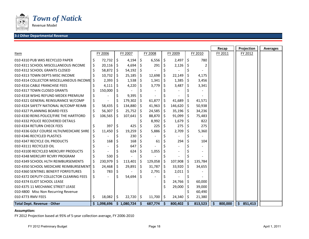

Revenue Model

#### **3‐J Other Departmental Revenue** <sup>40359</sup>

|                                           |         |                |     |                               |                |         |         |                          |      |         |      | Recap   | Projection | <b>Averages</b> |
|-------------------------------------------|---------|----------------|-----|-------------------------------|----------------|---------|---------|--------------------------|------|---------|------|---------|------------|-----------------|
| Item                                      |         | FY 2006        |     | FY 2007                       |                | FY 2008 |         | FY 2009                  |      | FY 2010 |      | FY 2011 | FY 2012    |                 |
| 010 4310 PUB WKS RECYCLED PAPER           | \$      | $72,732$ \$    |     | $4,194$ \$                    |                | 6,556   | \$      | $2,497$ \$               |      | 780     |      |         |            |                 |
| 010 4311 SCHOOL MISCELLANEOUS INCOME      | \$      | $20,116$ \$    |     | $4,694$ \$                    |                | 291     | Ś       | 2,126                    |      | 2       |      |         |            |                 |
| 010 4312 SCHOOL GRANTS CLOSED             | \$      | 58,872   \$    |     | $54,192$ \$                   |                |         |         |                          |      |         |      |         |            |                 |
| 010 4313 TOWN DEPTS MISC INCOME           | \$      | 10,732         | -\$ | 25,185                        | \$             | 12,698  | \$      | 22,149                   | l S  | 4,175   |      |         |            |                 |
| 010 4314 COLLECTOR MISCELLANEOUS INCOMELS |         | $2,393$ \$     |     | $1,538$ \$                    |                | 1,341   | \$      | 1,385                    | 1 \$ | 3,456   |      |         |            |                 |
| 010 4316 CABLE FRANCHISE FEES             |         | 4,111          | -\$ | 4,220                         | -S             | 3,779   | \$      | 3,487                    | l S  | 3,341   |      |         |            |                 |
| 010 4317 TOWN CLOSED GRANTS               | \$      | 150,000        | \$  |                               | \$             |         |         |                          |      |         |      |         |            |                 |
| 010 4318 WSHG REFUND MEDEX PREMIUM        | \$      |                |     | 9,395                         | -\$            |         |         |                          |      |         |      |         |            |                 |
| 010 4321 GENERAL REINSURANCE W/COMP       | \$      |                |     | 179,302                       | -\$            | 61,877  | \$      | 41,689                   |      | 41,571  |      |         |            |                 |
| 010 4324 SAFETY NATIONAL W/COMP REIMB     | \$      | 58,435         | -S  | 134,880                       | -\$            | 41,963  | \$      | 146,620 \$               |      | 50,938  |      |         |            |                 |
| 010 4327 PLANNING BOARD FEES              | \$      | $56,307$ \$    |     | $25,752$ \$                   |                | 24,585  | $\zeta$ | $35,196$ \$              |      | 34,236  |      |         |            |                 |
| 010 4330 REINS POLICE/FIRE THE HARTFORD   | \$      | 106,565        | \$  | 107,641                       | -Ş             | 88,870  | \$      | $91,099$ \$              |      | 75,483  |      |         |            |                 |
| 010 4332 POLICE RECOVERED DETAILS         |         |                |     |                               |                | 8,992   | \$      | $1,679$ \$               |      | 822     |      |         |            |                 |
| 010 4334 RETURN CHECK FEES                | \$      | $397 \;$ \$    |     | 425                           | -\$            | 225     |         | 275                      |      | 275     |      |         |            |                 |
| 010 4336 GOLF COURSE HLTH/MEDICARE SHRE   | $\zeta$ | 11,450         | -\$ | 19,259                        | \$             | 5,886   | \$      | 2,709                    | I \$ | 5,360   |      |         |            |                 |
| 010 4346 RECYCLED PLASTICS                |         |                |     | 230                           | Ŝ.             |         | \$      | $\overline{\phantom{0}}$ |      |         |      |         |            |                 |
| 010 4347 RECYCLE OIL PRODUCTS             |         | 168            | Ŝ   | 168                           | -S             | 61      |         | 294                      |      | 104     |      |         |            |                 |
| 010 43111 RECYCLED OIL                    |         |                |     | 647                           | -S             |         |         |                          |      |         |      |         |            |                 |
| 010 43100 RECYCLED MERCURY PRODUCTS       | \$      |                |     | 624                           | S              | 1,055   |         | $\blacksquare$           |      |         |      |         |            |                 |
| 010 4348 MERCURY RCVRY PROGRAM            | \$      | 530            | -\$ |                               | Ś.             |         |         |                          |      |         |      |         |            |                 |
| 010 4349 SCHOOL HLTH REIMBURSEMENTS       | \$      | 230,979        | -\$ | 113,401                       | $\ddot{\circ}$ | 129,058 | \$      | 107,908                  | l \$ | 135,784 |      |         |            |                 |
| 010 4350 SCHOOL MEDICARE REIMBURSEMENT \$ |         | 24,468         | \$  | 29,891                        | \$             | 31,787  | $\zeta$ | 33,920                   | ۱\$  | 34,655  |      |         |            |                 |
| 010 4360 SENTINEL BENEFIT FORFEITURES     | \$      | 783            | \$  |                               |                | 2,791   |         | 2,011                    |      |         |      |         |            |                 |
| 010 4372 DEPUTY COLLECTOR CLEARING FEES   | \$      | $\overline{a}$ |     | 54,694                        | Ŝ.             |         |         |                          |      |         |      |         |            |                 |
| 010 4374 ELIOT SCHOOL LEASE               |         |                |     |                               |                |         |         | $24,766$ \$              |      | 60,000  |      |         |            |                 |
| 010 4375 11 MECHANIC STREET LEASE         |         |                |     |                               |                |         |         | 29,000                   | ۱\$  | 39,000  |      |         |            |                 |
| 010-4800 Misc Non Recurring Revenue       |         |                |     |                               |                |         |         |                          |      | 60,490  |      |         |            |                 |
| 010 4773 RMV FEES                         | \$      | 18,082         | Ŝ.  | 22,720                        | -\$            | 11,700  | \$      | 24,340                   | -S   | 21,380  |      |         |            |                 |
| <b>Total Dept. Revenue - Other</b>        |         |                |     | $$1,098,696 \t$1,080,724 \t$$ |                | 687,774 | -S      | 800,402 \$               |      | 813,523 | ا \$ | 800,000 | \$851,413  |                 |

#### **Assumption:**

FY 2012 Projection based at 95% of 5‐year collection average, FY 2006‐2010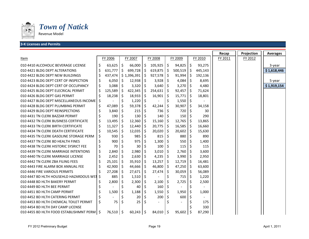

#### **3‐K Licenses and Permits** <sup>40359</sup>

|                                              |    |           |    |             |     |                          |         |             |     |         | Recap   | Projection | <b>Averages</b> |
|----------------------------------------------|----|-----------|----|-------------|-----|--------------------------|---------|-------------|-----|---------|---------|------------|-----------------|
| Item                                         |    | FY 2006   |    | FY 2007     |     | FY 2008                  |         | FY 2009     |     | FY 2010 | FY 2011 | FY 2012    |                 |
| 010 4410 ALCOHOLIC BEVERAGE LICENSE          | \$ | 63,625    | \$ | $66,000$ \$ |     | 105,925                  | \$      | 94,825      | \$  | 93,275  |         |            | 3-year          |
| 010 4421 BLDG DEPT ALTERATIONS               | \$ | 631,777   | \$ | 699,728     | \$  | 619,875                  | $\zeta$ | 500,519     | \$  | 445,143 |         |            | \$1,618,446     |
| 010 4422 BLDG DEPT NEW BUILDINGS             | Ś  | 437,474   |    | \$1,396,391 | \$  | 927,578                  | $\zeta$ | 91,994      | \$  | 192,136 |         |            |                 |
| 010 4423 BLDG DEPT CERT OF INSPECTION        | \$ | 6,050     | Ś  | 12,938      | \$  | 3,928                    | \$      | 4,084       | \$  | 8,695   |         |            | 5-year          |
| 010 4424 BLDG DEPT CERT OF OCCUPANCY         | \$ | 3,088     |    | 3,320       | -\$ | 3,640                    | -\$     | 3,270       | Ŝ.  | 4,480   |         |            | \$1,919,154     |
| 010 4425 BLDG DEPT ELECRICAL PERMIT          | \$ | 125,589   | \$ | 422,345     | \$. | 254,631                  | \$      | 92,457      | \$  | 71,624  |         |            |                 |
| 010 4426 BLDG DEPT GAS PERMIT                | \$ | 18,238    | -S | 18,933      | -Ş  | 16,901                   | -\$     | 15,771      | \$  | 18,801  |         |            |                 |
| 010 4427 BLDG DEPT MISCELLANEOUS INCOME      | Ś  |           | \$ | 1,220       | \$  |                          | \$      | 1,550       | \$  |         |         |            |                 |
| 010 4428 BLDG DEPT PLUMBING PERMIT           | Ś  | 47,089    | Ś  | 59,378      | Ŝ.  | 42,244                   | \$      | 30,907      | \$  | 34,158  |         |            |                 |
| 010 4429 BLDG DEPT REINSPECTIONS             | Ś  | 3,840     | Ś  | 215         | -S  | 736                      | Ŝ.      | 720         |     | 30      |         |            |                 |
| 010 4431 TN CLERK BAZZAR PERMIT              |    | 190       | \$ | 130         | -\$ | 140                      | \$      | 150         | S   | 290     |         |            |                 |
| 010 4432 TN CLERK BUSINESS CERTIFICATE       | \$ | 13,495    | Ś  | 12,360      | -\$ | 15,160                   | -Ś      | 12,765      | \$  | 13,865  |         |            |                 |
| 010 4433 TN CLERK BIRTH CERTIFICATE          | \$ | 11,327    | \$ | 12,440      | \$  | 20,775                   | -\$     | 16,585      | \$  | 16,660  |         |            |                 |
| 010 4434 TN CLERK DEATH CERTIFICATE          | \$ | 10,545    | \$ | 12,035      | \$, | 20,020                   | \$      | 20,602      | \$  | 15,630  |         |            |                 |
| 010 4435 TN CLERK GASOLINE STORAGE PERM      | \$ | 930       | Ś  | 985         | \$  | 815                      | Ŝ.      | 880         | Ś   | 890     |         |            |                 |
| 010 4437 TN CLERK BD HEALTH FINES            | Ś  | 900       |    | 975         |     | 1,300                    |         | 550         |     | 1,400   |         |            |                 |
| 010 4438 TN CLERK HISTORIC SYSRICT FEE       | \$ | 70        |    | 30          |     | 100                      |         | 115         |     | 115     |         |            |                 |
| 010 4439 TN CLERK MARRIAGE INTENTIONS        | \$ | 2,840     | \$ | 2,980       | \$  | 3,010                    | \$      | 2,760       | \$  | 3,600   |         |            |                 |
| 010 4440 TN CLERK MARRIAGE LICENSE           | Ś  | 2,452     | \$ | 2,630       | S   | 4,235                    | \$      | 3,990       | S   | 2,950   |         |            |                 |
| 010 4442 TN CLERK ZBA FILING FEES            |    | 25,101    | \$ | 35,910      | -\$ | 13,257                   | \$      | 12,719      | \$  | 16,481  |         |            |                 |
| 010 4443 FIRE ALARM BOX ANNUAL FEE           | \$ | 42,900    | S  | 44,666      | -\$ | 46,800                   | \$      | 47,250      | \$  | 63,600  |         |            |                 |
| 010 4446 FIRE VARIOUS PERMITS                |    | 27,208    | Ś  | 27,671      | -S  | 27,474                   | \$      | 30,059      | \$. | 56,089  |         |            |                 |
| 010 4447 BD HLTH HOUSEHLD HAZARDOUS WST      | Ŝ  | 885       |    | 1,510       | \$  |                          | \$      | 715         |     | 1,220   |         |            |                 |
| 010 4448 BD HLTH BAKERY PERMIT               |    | 2,800     | \$ | 2,300       | S   | 2,100                    | \$      | 2,725       | \$  | 2,500   |         |            |                 |
| 010 4449 BD HLTH BEE PERMIT                  |    |           | \$ | 40          | \$. | 160                      | \$      |             | \$  |         |         |            |                 |
| 010 4451 BD HLTH CAMP PERMIT                 | Ś  | 1,500     | \$ | 1,188       | \$. | 1,550                    | Ŝ       | 1,950       | \$  | 1,000   |         |            |                 |
| 010 4452 BD HLTH CATERING PERMIT             |    |           |    | 20          |     | 200                      | \$.     | 600         |     |         |         |            |                 |
| 010 4453 BD HLTH CHEMICAL TOILET PERMIT      | \$ | 75        | \$ | 25          | -S  | $\overline{\phantom{a}}$ | \$      |             |     | 175     |         |            |                 |
| 010 4454 BD HLTH DAY CAMP LICENSE            |    |           |    |             |     |                          |         |             |     | 330     |         |            |                 |
| 010 4455 BD HLTH FOOD ESTABLISHMNT PERM   \$ |    | 76,510 \$ |    | $60,243$ \$ |     | 84,010 \$                |         | $95,602$ \$ |     | 87,290  |         |            |                 |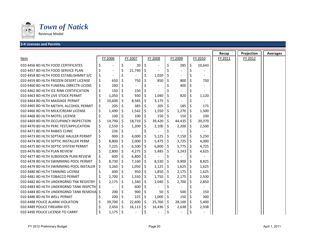

*Town of Natick*

#### **3‐K Licenses and Permits** <sup>40359</sup>

|                                            |    |                          |         |         |              |                       |         |         |    |                          | Recap   | Projection | <b>Averages</b> |
|--------------------------------------------|----|--------------------------|---------|---------|--------------|-----------------------|---------|---------|----|--------------------------|---------|------------|-----------------|
| Item                                       |    | FY 2006                  |         | FY 2007 |              | FY 2008               |         | FY 2009 |    | FY 2010                  | FY 2011 | FY 2012    |                 |
| 010 4456 BD HLTH FOOD CERTIFICATES         | \$ |                          | \$      | 20      | \$           |                       | \$      | 285     | \$ | 10,643                   |         |            |                 |
| 010 4457 BD HLTH FOOD SERVICE PLAN         | \$ | $\overline{\phantom{a}}$ | \$      | 21,740  | -S           |                       | \$      |         |    |                          |         |            |                 |
| 010 4458 BD HLTH FOOD ESTABLISHMNT S/C     | \$ |                          | \$      |         |              | 1,020                 |         |         |    |                          |         |            |                 |
| 010 4459 BD HLTH FROZEN DESERT LICENSE     | \$ | 650                      | \$      | 750     | Ŝ            | 850                   | \$      | 800     |    | 750                      |         |            |                 |
| 010 4460 BD HLTH FUNERAL DIRECTR LICENS    | \$ | 200                      | Ś       |         | Ś            |                       | \$      | 400     |    | $\overline{\phantom{a}}$ |         |            |                 |
| 010 4462 BD HLTH ICE RINK CERTIFICATION    | \$ | 150                      |         | 150     | \$.          |                       | \$      |         |    | $\overline{\phantom{a}}$ |         |            |                 |
| 010 4463 BD HLTH LIVE STOCK PERMIT         | \$ | 1,050                    | \$      | 930     | \$           | 1,040                 | \$      | 820     | \$ | 1,120                    |         |            |                 |
| 010 4464 BD HLTH MASSAGE PERMIT            | \$ | 10,600                   | \$.     | 8,585   | -\$          | 3,175                 | Ŝ.      |         |    |                          |         |            |                 |
| 010 4465 BD HLTH METHYL ALCOHOL PERMIT     | \$ | 205                      |         | 385     | \$.          | 205                   |         | 185     |    | 175                      |         |            |                 |
| 010 4466 BD HLTH MILK/CREAM LICENSE        | \$ | 1,490                    | \$      | 1,542   | -\$          | 1,550                 | \$      | 1,270   |    | 1,500                    |         |            |                 |
| 010 4468 BD HLTH MOTEL LICENSE             | \$ | 100                      | \$      | 100     | -\$          | 150                   | \$      | 150     | \$ | 100                      |         |            |                 |
| 010 4469 BD HLTH OCCUPANCY INSPECTION      | \$ | 14,790                   | S       | 18,710  | S            | 39,420                | .S      | 44,435  | \$ | 20,370                   |         |            |                 |
| 010 4470 BD HLTH PERC TEST/APPLICATION     | \$ | 2,550                    | \$      | 1,200   | -S           | 2,100                 | \$      | 2,200   | \$ | 2,500                    |         |            |                 |
| 010 4471 BD HLTH RABIES CLINIC             | \$ | 236                      | \$      |         | \$           |                       | \$      |         |    |                          |         |            |                 |
| 010 4473 BD HLTH SEPTAGE HAULER PERMIT     | \$ | 900                      | \$      | 4,000   | \$.          | 5,125                 | \$      | 7,150   | S  | 5,250                    |         |            |                 |
| 010 4474 BD HLTH SEPTIC INSTALLER PERM     | \$ | 8,800                    | Ś       | 2,000   | Ŝ.           | $5,475$ \$            |         | 3,725   | Ś. | 4,000                    |         |            |                 |
| 010 4475 BD HLTH SEPTIC SYSTEM PERMIT      | \$ | 7,225                    | \$      | 6,500   | \$           | $6,800$ \$            |         | 5,775   | \$ | 4,725                    |         |            |                 |
| 010 4476 BD HLTH PLAN REVIEW               | \$ | 2,800                    | \$      | 4,275   | -\$          | 5,485                 | \$      | 3,243   | \$ | 4,625                    |         |            |                 |
| 010 4477 BD HLTH SUBDISION PLAN REVIEW     | \$ | 600                      | \$      | 6,800   | \$           | $\tilde{\phantom{a}}$ | \$      |         |    |                          |         |            |                 |
| 010 4478 BD HLTH SWIMMING POOL PERMIT      | Ś  | 8,730                    | Ś       | 7,160   | S            | 8,530                 | \$      | 9,900   | Ś  | 8,825                    |         |            |                 |
| 010 4479 BD HLTH SWIMMING POOL INSTALER IS |    | 3,260                    | \$      | 1,050   | -\$          | $2,125$ \$            |         | 1,625   | \$ | 1,625                    |         |            |                 |
| 010 4480 BD HLTH TANNING LICENSE           |    | 600                      | \$      | 950     | Ŝ.           | $1,850$ \$            |         | 2,175   | \$ | 1,625                    |         |            |                 |
| 010 4481 BD HLTH TOBACCO PERMIT            |    | 1,700                    | \$      | 1,550   | \$           | 1,750                 | $\zeta$ | 2,175   | \$ | 2,500                    |         |            |                 |
| 010 4482 BD HLTH UNDERGRND TNK REGISTRY    |    | 2,175                    | \$      | 1,340   | Ŝ.           | 2,040                 | \$      | 2,700   | S  | 2,850                    |         |            |                 |
| 010 4483 BD HLTH UNDERGRND TANK INSPCTN S  |    |                          | Ś       | 600     | Ŝ.           |                       | \$      |         |    |                          |         |            |                 |
| 010 4484 BD HLTH UNDERGRND TANK REMOVAL \$ |    | 200                      |         | 900     | Ŝ.           | 50                    |         | 500     |    | 150                      |         |            |                 |
| 010 4486 BD HLTH WELL PERMIT               |    | 200                      | \$      | 225     | S            | $1,000$ \$            |         | 150     | S  | 300                      |         |            |                 |
| 010 4488 POLICE ALARM VIOLATION            |    | 39,700                   | S       | 22,600  | -S           | 25,700                | -\$     | 28,100  | \$ | 5,400                    |         |            |                 |
| 010 4489 POLICE FIREARM ID'S               |    | 2,450                    | S       | 16,113  | <sub>S</sub> | 16,436                | Ŝ.      | 2,638   | Ŝ. | 2,938                    |         |            |                 |
| 010 4490 POLICE LICENSE TO CARRY           | \$ | 1,175                    | $\zeta$ |         | \$           |                       | \$      |         |    |                          |         |            |                 |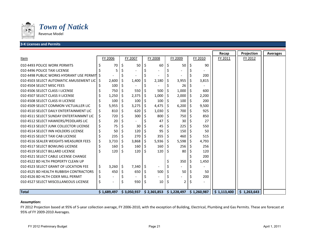

#### **3‐K Licenses and Permits** <sup>40359</sup>

|                                            |    |                |    |         |         |         |    |                                        |    |             | Recap       | Projection  | <b>Averages</b> |
|--------------------------------------------|----|----------------|----|---------|---------|---------|----|----------------------------------------|----|-------------|-------------|-------------|-----------------|
| Item                                       |    | FY 2006        |    | FY 2007 |         | FY 2008 |    | FY 2009                                |    | FY 2010     | FY 2011     | FY 2012     |                 |
| 010 4493 POLICE WORK PERMITS               |    | 70             | \$ | 50      | S       | 60      | Ŝ. | 50                                     |    | 90          |             |             |                 |
| 010 4496 POLICE TAXI LICENSE               |    |                |    |         |         |         |    |                                        |    |             |             |             |                 |
| 010 4498 PUBLIC WORKS HYDRANT USE PERMIT S |    |                |    |         |         |         |    |                                        |    | 200         |             |             |                 |
| 010 4503 SELECT AUTOMATIC AMUSEMENT LIC S  |    | 2,600          | \$ | 1,400   |         | 2,180   | S  | 3,955                                  |    | 3,815       |             |             |                 |
| 010 4504 SELECT MISC FEES                  |    | 100            |    |         | \$      |         | \$ | 26                                     |    |             |             |             |                 |
| 010 4506 SELECT CLASS I LICENSE            |    | 750            | S  | 550     | \$      | 500     | \$ | 1,000                                  | S  | 600         |             |             |                 |
| 010 4507 SELECT CLASS II LICENSE           |    | 1,250          | \$ | 2,375   | \$      | 1,000   | \$ | 2,000                                  | \$ | 2,200       |             |             |                 |
| 010 4508 SELECT CLASS III LICENSE          |    | 100            |    | 100     | \$      | 100     | \$ | 100                                    | \$ | 200         |             |             |                 |
| 010 4509 SELECT COMMON VICTUALLER LIC      | Ś  | 5,955          | \$ | 3,275   | \$      | 4,475   | Ŝ. | 6,200                                  | Ś  | 9,500       |             |             |                 |
| 010 4510 SELECT DAILY ENTERTAINMENT LIC    | \$ | 810            | \$ | 620     | \$      | 1,030   | Ŝ. | 700                                    | Ś  | 925         |             |             |                 |
| 010 4511 SELECT SUNDAY ENTERTAINMNT LIC    | \$ | 720            | Ś  | 300     | -\$     | 800     | Ś. | 750                                    |    | 850         |             |             |                 |
| 010 4512 SELECT HAWKERS/PEDDLARS LIC       | \$ | 20             |    |         |         | 47      |    | 30                                     |    | 27          |             |             |                 |
| 010 4513 SELECT JUNK COLLECTOR LICENSE     | \$ | 75             |    | 30      | Ŝ       | 45      |    | 225                                    |    | 550         |             |             |                 |
| 010 4514 SELECT INN HOLDERS LICENSE        |    | 50             |    | 120     | -\$     | 95      |    | 150                                    |    | 50          |             |             |                 |
| 010 4515 SELECT TAXI CAB LICENSE           |    | 235            | \$ | 270     | \$      | 355     | S  | 460                                    |    | 515         |             |             |                 |
| 010 4516 SEALER WEIGHTS MEASURER FEES      | \$ | 3,733          | S  | 3,868   | -\$     | 5,936   | -S | 5,598                                  | S  | 4,793       |             |             |                 |
| 010 4517 SELECT BOWLING LICENSE            | \$ | 160            | \$ | 160     | $\zeta$ | 160     | \$ | 256                                    | S  | 256         |             |             |                 |
| 010 4519 SELECT BILLARD LICENSE            | Ś  | 120            | Ś  | 120     | -\$     | 120     | Ŝ  | 80                                     |    | 120         |             |             |                 |
| 010 4521 SELECT CABLE LICENSE CHANGE       |    |                |    |         |         |         |    |                                        |    | 200         |             |             |                 |
| 010 4522 BD HLTH PROPERTY CLEAN UP         |    |                |    |         |         |         |    | 350                                    |    | 1,450       |             |             |                 |
| 010 4523 SELECT GRANT OF LOCATION FEE      | \$ | 3,260          | \$ | 7,340   | $\zeta$ |         | \$ |                                        |    |             |             |             |                 |
| 010 4525 BD HEALTH RUBBISH CONTRACTORS     | \$ | 450            | \$ | 650     | -\$     | 500     |    | 50                                     |    | 50          |             |             |                 |
| 010 4526 BD HLTH CIDER MILL PERMIT         | \$ |                |    |         |         |         |    |                                        |    | 200         |             |             |                 |
| 010 4527 SELECT MISCELLANEOUS LICENSE      | \$ | $\overline{a}$ | \$ | 930     | \$      | 10      | S  | 2                                      | S  |             |             |             |                 |
|                                            |    |                |    |         |         |         |    |                                        |    |             |             |             |                 |
| <b>Total</b>                               |    | \$1,689,497    |    |         |         |         |    | $$3,050,937$ $$2,365,853$ $$1,228,497$ |    | \$1,260,987 | \$1,113,400 | \$1,263,643 |                 |

#### **Assumption:**

FY 2012 Projection based at 95% of 5‐year collection average, FY 2006‐2010, with the exception of Building, Electrical, Plumbing and Gas Permits. These are forecast at 95% of FY 2009‐2010 Averages.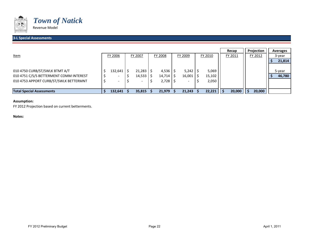

#### **3‐L Special Assessments** <sup>40359</sup>

|                                         |                          |                          |              |                          |         | Recap   | Projection | <b>Averages</b> |
|-----------------------------------------|--------------------------|--------------------------|--------------|--------------------------|---------|---------|------------|-----------------|
| <u>Item</u>                             | FY 2006                  | FY 2007                  | FY 2008      | FY 2009                  | FY 2010 | FY 2011 | FY 2012    | 3-year          |
|                                         |                          |                          |              |                          |         |         |            | 21,814          |
|                                         |                          |                          |              |                          |         |         |            |                 |
| 010 4750 CURB/ST/SWLK BTMT A/T          | 132,641                  | 21,283                   | 4,536        | $5,242$   \$             | 5,069   |         |            | 5-year          |
| 010 4751 C/S/S BETTERMENT COMM INTEREST | $\overline{\phantom{0}}$ | 14,533                   | $14,714$ \$  | 16,001                   | 15,102  |         |            | 46,780          |
| 010 4753 APPORT CURB/ST/SWLK BETTERMNT  | $\overline{\phantom{0}}$ | $\overline{\phantom{a}}$ | $2,728$   \$ | $\overline{\phantom{0}}$ | 2,050   |         |            |                 |
|                                         |                          |                          |              |                          |         |         |            |                 |
| <b>Total Special Assessments</b>        | 132,641                  | 35,815                   | 21,979       | 21,243                   | 22,221  | 20,000  | 20,000     |                 |

#### **Assumption:**

FY 2012 Projection based on current betterments.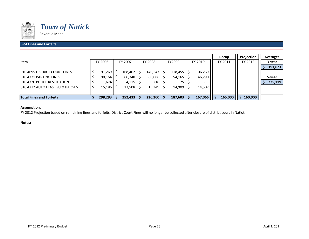

#### **3‐M Fines and Forfeits**

|                                 |         |           |                |         |         | Recap   | <b>Projection</b> | Averages |
|---------------------------------|---------|-----------|----------------|---------|---------|---------|-------------------|----------|
| <u>Item</u>                     | FY 2006 | FY 2007   | <b>FY 2008</b> | FY2009  | FY 2010 | FY 2011 | FY 2012           | 3-year   |
|                                 |         |           |                |         |         |         |                   | 191,623  |
| 010 4695 DISTRICT COURT FINES   | 191,269 | 168,462   | $140,547$ \$   | 118,455 | 106,269 |         |                   |          |
| 010 4771 PARKING FINES          | 90,164  | 66,348    | 66,086         | 54,165  | 46,290  |         |                   | 5-year   |
| 010 4770 POLICE RESTITUTION     | 1,674   | $4,115$ S | 218 S          | 75 I    |         |         |                   | 225,119  |
| 010 4772 AUTO LEASE SURCHARGES  | 15,186  | 13,508    | 13,349         | 14,909  | 14,507  |         |                   |          |
|                                 |         |           |                |         |         |         |                   |          |
| <b>Total Fines and Forfeits</b> | 298,293 | 252,433   | 220,200        | 187,603 | 167,066 | 165,000 | 160,000           |          |

#### **Assumption:**

FY 2012 Projection based on remaining fines and forfeits. District Court Fines will no longer be collected after closure of district court in Natick.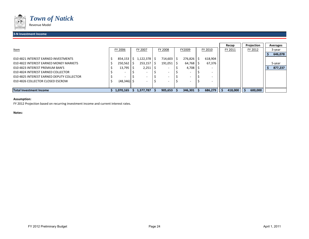

#### **3‐N Investment Income** <sup>40359</sup>

|                                           |                |                          |                          |                          |                          | Recap   | Projection | Averages |
|-------------------------------------------|----------------|--------------------------|--------------------------|--------------------------|--------------------------|---------|------------|----------|
| <u>Item</u>                               | FY 2006        | FY 2007                  | FY 2008                  | FY2009                   | FY 2010                  | FY 2011 | FY 2012    | 3-year   |
|                                           |                |                          |                          |                          |                          |         |            | 646,078  |
| 010 4821 INTEREST EARNED INVESTMENTS      | 854,153        | $,122,378$   \$          | $714,603$   \$           | $276,826$   \$           | 618,904                  |         |            |          |
| 010 4822 INTEREST EARNED MONEY MARKETS    | 250,562        | $253,157$   \$           | $191,051$   \$           | $64,768$ $\mid$ \$       | 67,376                   |         |            | 5-year   |
| 010 4823 INTEREST PREMIUM BAN'S           | 13,795         | 2,251                    |                          | 4,708                    | -                        |         |            | 877,237  |
| 010 4824 INTEREST EARNED COLLECTOR        |                |                          | $\overline{\phantom{a}}$ |                          | $\overline{\phantom{a}}$ |         |            |          |
| 010 4825 INTEREST EARNED DEPUTY COLLECTOR |                | $\overline{\phantom{a}}$ | $\overline{\phantom{a}}$ |                          |                          |         |            |          |
| 010 4826 COLLECTOR CLOSED ESCROW          | $(48, 346)$ \$ |                          | $\overline{\phantom{a}}$ | $\overline{\phantom{a}}$ | $\overline{\phantom{0}}$ |         |            |          |
|                                           |                |                          |                          |                          |                          |         |            |          |
| <b>Total Investment Income</b>            | 1,070,165      | 1,377,787                | 905,653                  | 346,301                  | 686,279                  | 418,000 | 600,000    |          |

#### **Assumption:**

FY 2012 Projection based on recurring investment income and current interest rates.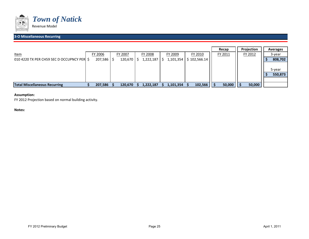

#### **3‐O Miscellaneous Recurring** <sup>40359</sup>

|                                            |         |         |           |           |              | Recap   | <b>Projection</b> | Averages |
|--------------------------------------------|---------|---------|-----------|-----------|--------------|---------|-------------------|----------|
| <u>Item</u>                                | FY 2006 | FY 2007 | FY 2008   | FY 2009   | FY 2010      | FY 2011 | FY 2012           | 3-year   |
| 010 4220 TX PER CH59 SEC D OCCUPNCY PER \$ | 207,586 | 120,670 | 1,222,187 | 1,101,354 | \$102,566.14 |         |                   | 808,702  |
|                                            |         |         |           |           |              |         |                   | 5-year   |
|                                            |         |         |           |           |              |         |                   | 550,873  |
|                                            |         |         |           |           |              |         |                   |          |
| <b>Total Miscellaneous Recurring</b>       | 207,586 | 120,670 | 1,222,187 | 1,101,354 | 102,566      | 50,000  | 50,000            |          |

#### **Assumption:**

FY 2012 Projection based on normal building activity.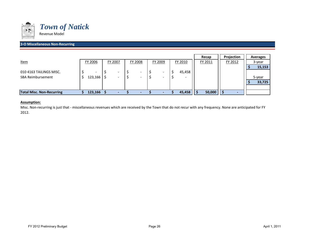

#### **3‐O Miscellaneous Non‐Recurring**

|                                  |         |         |                |         |         | Recap   | Projection | Averages |
|----------------------------------|---------|---------|----------------|---------|---------|---------|------------|----------|
| <b>Item</b>                      | FY 2006 | FY 2007 | <b>FY 2008</b> | FY 2009 | FY 2010 | FY 2011 | FY 2012    | 3-year   |
|                                  |         |         |                |         |         |         |            | 15,153   |
| 010 4163 TAILINGS MISC.          |         |         |                |         | 45,458  |         |            |          |
| <b>SBA Reimbursement</b>         | 123,166 |         |                |         | ۰       |         |            | 5-year   |
|                                  |         |         |                |         |         |         |            | 33,725   |
|                                  |         |         |                |         |         |         |            |          |
| <b>Total Misc. Non-Recurring</b> | 123,166 |         |                |         | 45,458  | 50,000  |            |          |

#### **Assumption:**

Misc. Non‐recurring is just that ‐ miscellaneous revenues which are received by the Town that do not recur with any frequency. None are anticipated for FY 2012.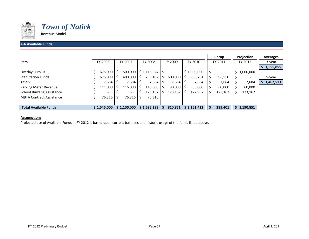

### *Town of Natick*

Revenue Model

#### **4‐A Available Funds**

|                                   |             |           |    |                                 |                          |   |             |    | Recap   |   | Projection | <b>Averages</b> |
|-----------------------------------|-------------|-----------|----|---------------------------------|--------------------------|---|-------------|----|---------|---|------------|-----------------|
| Item                              | FY 2006     | FY 2007   |    | FY 2008                         | FY 2009                  |   | FY 2010     |    | FY 2011 |   | FY 2012    | 3-year          |
|                                   |             |           |    |                                 |                          |   |             |    |         |   |            | 1,555,855       |
| Overlay Surplus                   | 675,000     | 500,000   |    | $\frac{1}{2}$ \$ 1,116,024   \$ | $\overline{\phantom{a}}$ |   | \$1,000,000 | -S |         |   | 1,000,000  |                 |
| <b>Stablization Funds</b>         | 675,000     | 400,000   | S  | 256,102                         | 600,000                  | S | 950,751     | Ś  | 98,550  |   | -          | 5-year          |
| Title V                           | 7,684       | 7,684     |    | 7,684                           | 7,684                    |   | 7,684       |    | 7,684   |   | 7,684      | 1,462,513       |
| Parking Meter Revenue             | 111,000     | 116,000   | S  | 116,000                         | 80,000                   | S | 80,000      |    | 60,000  |   | 60,000     |                 |
| <b>School Building Assistance</b> |             |           |    | 123,167                         | 123,167                  |   | 122,987     | ↘  | 123,167 |   | 123,167    |                 |
| <b>MBTA Contract Assistance</b>   | 76,316   \$ | 76,316    | -S | 76,316                          |                          |   |             |    |         |   |            |                 |
|                                   |             |           |    |                                 |                          |   |             |    |         |   |            |                 |
| <b>Total Available Funds</b>      | \$1,545,000 | 1,100,000 |    | \$1,695,293                     | 810,851                  |   | \$2,161,422 |    | 289,401 | S | 1,190,851  |                 |

#### **Assumptions**

Projected use of Available Funds in FY 2012 is based upon current balances and historic usage of the funds listed above.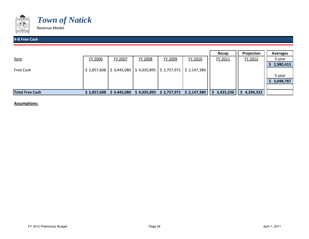



#### **4‐B Free Cash**

|                        |             |                                                                                                                                 |             |             |             | Recap       | Projection       | Averages  |
|------------------------|-------------|---------------------------------------------------------------------------------------------------------------------------------|-------------|-------------|-------------|-------------|------------------|-----------|
| <u>Item</u>            | FY 2006     | FY 2007                                                                                                                         | FY 2008     | FY 2009     | FY 2010     | FY 2011     | FY 2012          | 3-year    |
|                        |             |                                                                                                                                 |             |             |             |             |                  | 2,980,415 |
| Free Cash              |             | $\frac{1}{2}$ 2,857,608   $\frac{1}{2}$ 3,445,080   $\frac{1}{2}$ 4,035,895   $\frac{1}{2}$ 2,757,971   $\frac{1}{2}$ 2,147,380 |             |             |             |             |                  |           |
|                        |             |                                                                                                                                 |             |             |             |             |                  | 5-year    |
|                        |             |                                                                                                                                 |             |             |             |             |                  | 3,048,787 |
|                        |             |                                                                                                                                 |             |             |             |             |                  |           |
| <b>Total Free Cash</b> | \$2,857,608 | \$3,445,080                                                                                                                     | \$4,035,895 | \$2,757,971 | \$2,147,380 | \$3,425,336 | 4,294,322<br>l S |           |

**Assumptions:**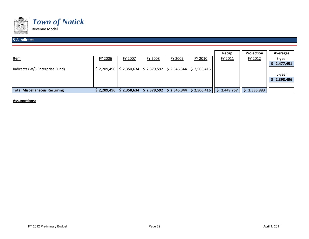

#### **5‐A Indirects**

|                                      |              |             |             |             |                                                                                     | Recap     | Projection | Averages  |
|--------------------------------------|--------------|-------------|-------------|-------------|-------------------------------------------------------------------------------------|-----------|------------|-----------|
| <u>Item</u>                          | FY 2006      | FY 2007     | FY 2008     | FY 2009     | FY 2010                                                                             | FY 2011   | FY 2012    | 3-year    |
|                                      |              |             |             |             |                                                                                     |           |            | 2,477,451 |
| Indirects (W/S Enterprise Fund)      |              |             |             |             | $\frac{1}{2}$ 2,209,496   \$ 2,350,634   \$ 2,379,592   \$ 2,546,344   \$ 2,506,416 |           |            |           |
|                                      |              |             |             |             |                                                                                     |           |            | 5-year    |
|                                      |              |             |             |             |                                                                                     |           |            | 2,398,496 |
|                                      |              |             |             |             |                                                                                     |           |            |           |
| <b>Total Miscellaneous Recurring</b> | \$ 2,209,496 | \$2,350,634 | \$2,379,592 | \$2,546,344 | \$2,506,416                                                                         | 2,449,757 | 2,535,883  |           |

**Assumptions:**